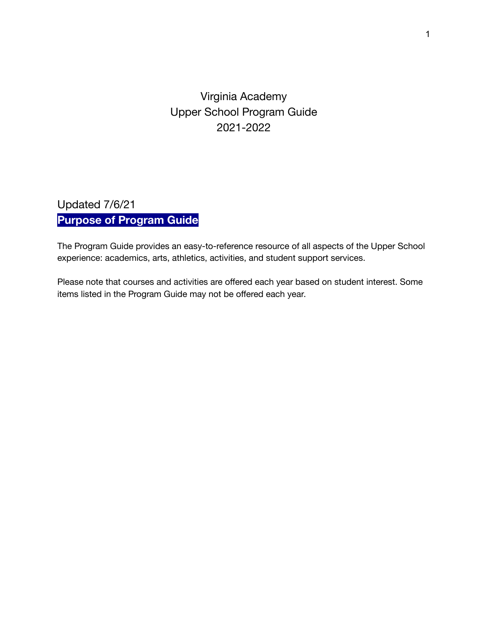# Virginia Academy Upper School Program Guide 2021-2022

# Updated 7/6/21 **Purpose of Program Guide**

The Program Guide provides an easy-to-reference resource of all aspects of the Upper School experience: academics, arts, athletics, activities, and student support services.

Please note that courses and activities are offered each year based on student interest. Some items listed in the Program Guide may not be offered each year.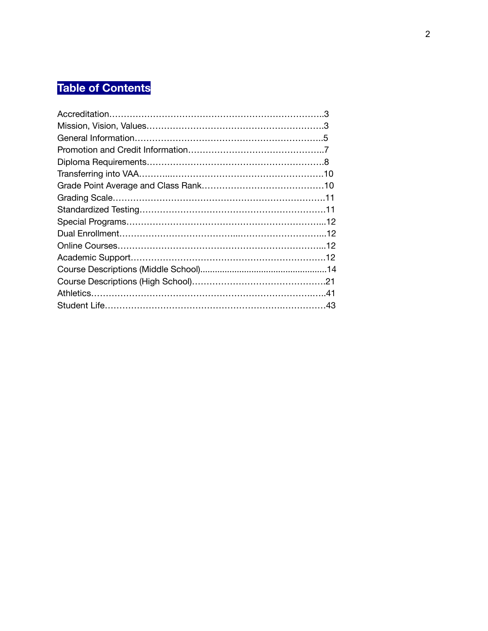# **Table of Contents**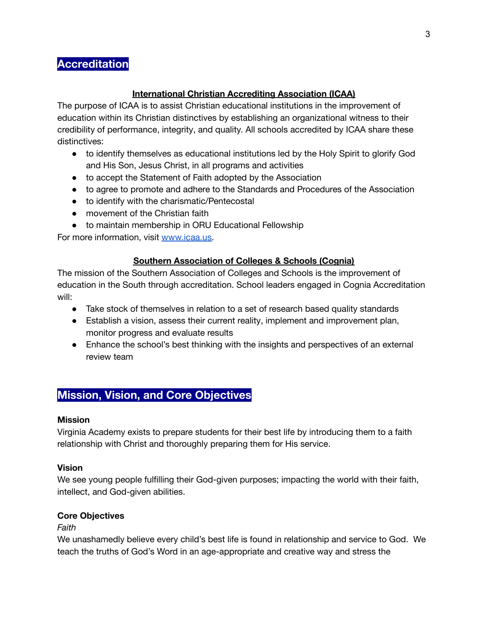# **Accreditation**

## **International Christian Accrediting Association (ICAA)**

The purpose of ICAA is to assist Christian educational institutions in the improvement of education within its Christian distinctives by establishing an organizational witness to their credibility of performance, integrity, and quality. All schools accredited by ICAA share these distinctives:

- to identify themselves as educational institutions led by the Holy Spirit to glorify God and His Son, Jesus Christ, in all programs and activities
- to accept the Statement of Faith adopted by the Association
- to agree to promote and adhere to the Standards and Procedures of the Association
- to identify with the charismatic/Pentecostal
- movement of the Christian faith
- to maintain membership in ORU Educational Fellowship

For more information, visit [www.icaa.us.](http://www.icaa.us/)

## **Southern Association of Colleges & Schools (Cognia)**

The mission of the Southern Association of Colleges and Schools is the improvement of education in the South through accreditation. School leaders engaged in Cognia Accreditation will:

- Take stock of themselves in relation to a set of research based quality standards
- Establish a vision, assess their current reality, implement and improvement plan, monitor progress and evaluate results
- Enhance the school's best thinking with the insights and perspectives of an external review team

# **Mission, Vision, and Core Objectives**

## **Mission**

Virginia Academy exists to prepare students for their best life by introducing them to a faith relationship with Christ and thoroughly preparing them for His service.

## **Vision**

We see young people fulfilling their God-given purposes; impacting the world with their faith, intellect, and God-given abilities.

## **Core Objectives**

*Faith*

We unashamedly believe every child's best life is found in relationship and service to God. We teach the truths of God's Word in an age-appropriate and creative way and stress the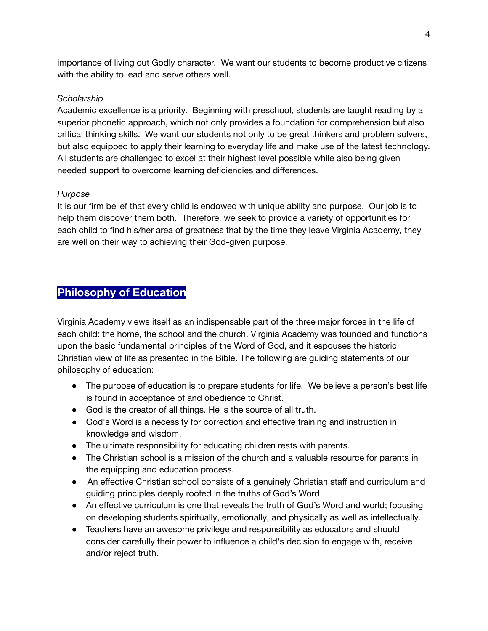importance of living out Godly character. We want our students to become productive citizens with the ability to lead and serve others well.

## *Scholarship*

Academic excellence is a priority. Beginning with preschool, students are taught reading by a superior phonetic approach, which not only provides a foundation for comprehension but also critical thinking skills. We want our students not only to be great thinkers and problem solvers, but also equipped to apply their learning to everyday life and make use of the latest technology. All students are challenged to excel at their highest level possible while also being given needed support to overcome learning deficiencies and differences.

## *Purpose*

It is our firm belief that every child is endowed with unique ability and purpose. Our job is to help them discover them both. Therefore, we seek to provide a variety of opportunities for each child to find his/her area of greatness that by the time they leave Virginia Academy, they are well on their way to achieving their God-given purpose.

# **Philosophy of Education**

Virginia Academy views itself as an indispensable part of the three major forces in the life of each child: the home, the school and the church. Virginia Academy was founded and functions upon the basic fundamental principles of the Word of God, and it espouses the historic Christian view of life as presented in the Bible. The following are guiding statements of our philosophy of education:

- The purpose of education is to prepare students for life. We believe a person's best life is found in acceptance of and obedience to Christ.
- God is the creator of all things. He is the source of all truth.
- God's Word is a necessity for correction and effective training and instruction in knowledge and wisdom.
- The ultimate responsibility for educating children rests with parents.
- The Christian school is a mission of the church and a valuable resource for parents in the equipping and education process.
- An effective Christian school consists of a genuinely Christian staff and curriculum and guiding principles deeply rooted in the truths of God's Word
- An effective curriculum is one that reveals the truth of God's Word and world; focusing on developing students spiritually, emotionally, and physically as well as intellectually.
- Teachers have an awesome privilege and responsibility as educators and should consider carefully their power to influence a child's decision to engage with, receive and/or reject truth.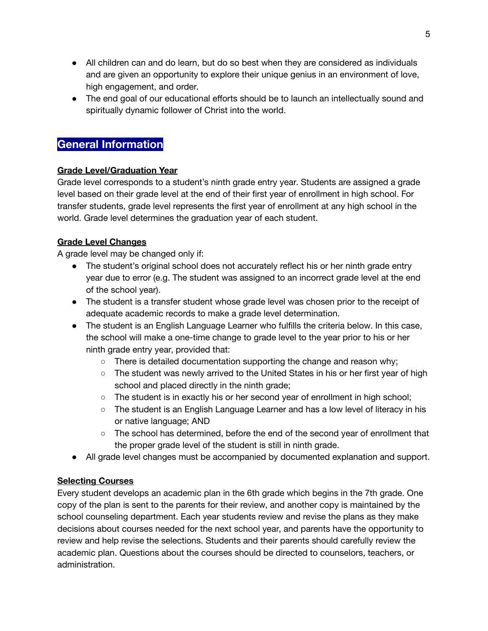- All children can and do learn, but do so best when they are considered as individuals and are given an opportunity to explore their unique genius in an environment of love, high engagement, and order.
- The end goal of our educational efforts should be to launch an intellectually sound and spiritually dynamic follower of Christ into the world.

# **General Information**

## **Grade Level/Graduation Year**

Grade level corresponds to a student's ninth grade entry year. Students are assigned a grade level based on their grade level at the end of their first year of enrollment in high school. For transfer students, grade level represents the first year of enrollment at any high school in the world. Grade level determines the graduation year of each student.

## **Grade Level Changes**

A grade level may be changed only if:

- The student's original school does not accurately reflect his or her ninth grade entry year due to error (e.g. The student was assigned to an incorrect grade level at the end of the school year).
- The student is a transfer student whose grade level was chosen prior to the receipt of adequate academic records to make a grade level determination.
- The student is an English Language Learner who fulfills the criteria below. In this case, the school will make a one-time change to grade level to the year prior to his or her ninth grade entry year, provided that:
	- $\circ$  There is detailed documentation supporting the change and reason why;
	- The student was newly arrived to the United States in his or her first year of high school and placed directly in the ninth grade;
	- The student is in exactly his or her second year of enrollment in high school;
	- The student is an English Language Learner and has a low level of literacy in his or native language; AND
	- The school has determined, before the end of the second year of enrollment that the proper grade level of the student is still in ninth grade.
- All grade level changes must be accompanied by documented explanation and support.

## **Selecting Courses**

Every student develops an academic plan in the 6th grade which begins in the 7th grade. One copy of the plan is sent to the parents for their review, and another copy is maintained by the school counseling department. Each year students review and revise the plans as they make decisions about courses needed for the next school year, and parents have the opportunity to review and help revise the selections. Students and their parents should carefully review the academic plan. Questions about the courses should be directed to counselors, teachers, or administration.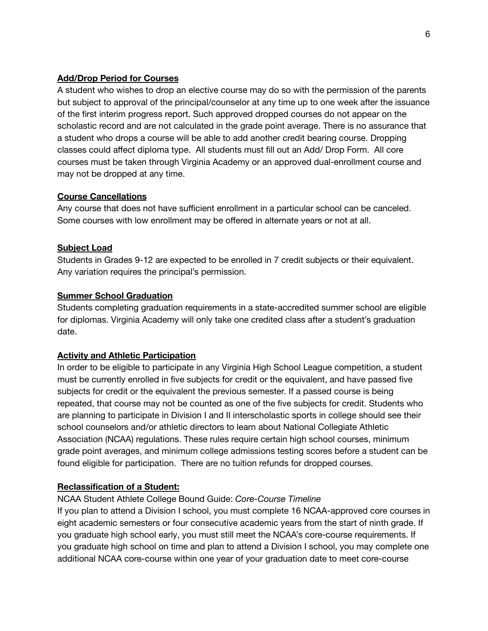## **Add/Drop Period for Courses**

A student who wishes to drop an elective course may do so with the permission of the parents but subject to approval of the principal/counselor at any time up to one week after the issuance of the first interim progress report. Such approved dropped courses do not appear on the scholastic record and are not calculated in the grade point average. There is no assurance that a student who drops a course will be able to add another credit bearing course. Dropping classes could affect diploma type. All students must fill out an Add/ Drop Form. All core courses must be taken through Virginia Academy or an approved dual-enrollment course and may not be dropped at any time.

## **Course Cancellations**

Any course that does not have sufficient enrollment in a particular school can be canceled. Some courses with low enrollment may be offered in alternate years or not at all.

## **Subject Load**

Students in Grades 9-12 are expected to be enrolled in 7 credit subjects or their equivalent. Any variation requires the principal's permission.

## **Summer School Graduation**

Students completing graduation requirements in a state-accredited summer school are eligible for diplomas. Virginia Academy will only take one credited class after a student's graduation date.

## **Activity and Athletic Participation**

In order to be eligible to participate in any Virginia High School League competition, a student must be currently enrolled in five subjects for credit or the equivalent, and have passed five subjects for credit or the equivalent the previous semester. If a passed course is being repeated, that course may not be counted as one of the five subjects for credit. Students who are planning to participate in Division I and II interscholastic sports in college should see their school counselors and/or athletic directors to learn about National Collegiate Athletic Association (NCAA) regulations. These rules require certain high school courses, minimum grade point averages, and minimum college admissions testing scores before a student can be found eligible for participation. There are no tuition refunds for dropped courses.

## **Reclassification of a Student:**

## NCAA Student Athlete College Bound Guide: *Core-Course Timeline*

If you plan to attend a Division I school, you must complete 16 NCAA-approved core courses in eight academic semesters or four consecutive academic years from the start of ninth grade. If you graduate high school early, you must still meet the NCAA's core-course requirements. If you graduate high school on time and plan to attend a Division I school, you may complete one additional NCAA core-course within one year of your graduation date to meet core-course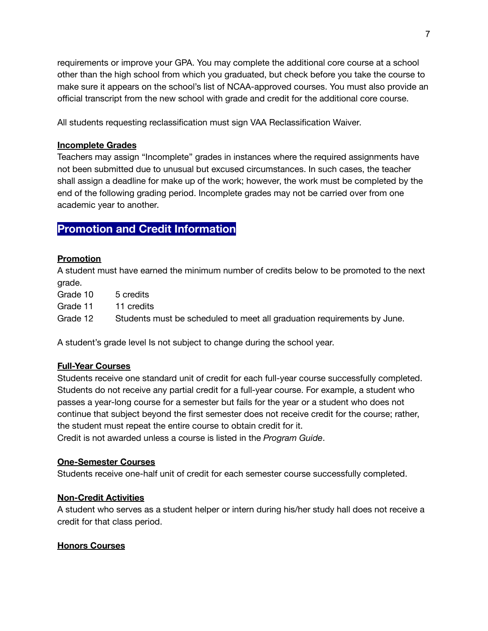requirements or improve your GPA. You may complete the additional core course at a school other than the high school from which you graduated, but check before you take the course to make sure it appears on the school's list of NCAA-approved courses. You must also provide an official transcript from the new school with grade and credit for the additional core course.

All students requesting reclassification must sign VAA Reclassification Waiver.

#### **Incomplete Grades**

Teachers may assign "Incomplete" grades in instances where the required assignments have not been submitted due to unusual but excused circumstances. In such cases, the teacher shall assign a deadline for make up of the work; however, the work must be completed by the end of the following grading period. Incomplete grades may not be carried over from one academic year to another.

# **Promotion and Credit Information**

#### **Promotion**

A student must have earned the minimum number of credits below to be promoted to the next grade.

Grade 10 5 credits

Grade 11 11 credits

Grade 12 Students must be scheduled to meet all graduation requirements by June.

A student's grade level Is not subject to change during the school year.

#### **Full-Year Courses**

Students receive one standard unit of credit for each full-year course successfully completed. Students do not receive any partial credit for a full-year course. For example, a student who passes a year-long course for a semester but fails for the year or a student who does not continue that subject beyond the first semester does not receive credit for the course; rather, the student must repeat the entire course to obtain credit for it.

Credit is not awarded unless a course is listed in the *Program Guide*.

#### **One-Semester Courses**

Students receive one-half unit of credit for each semester course successfully completed.

## **Non-Credit Activities**

A student who serves as a student helper or intern during his/her study hall does not receive a credit for that class period.

## **Honors Courses**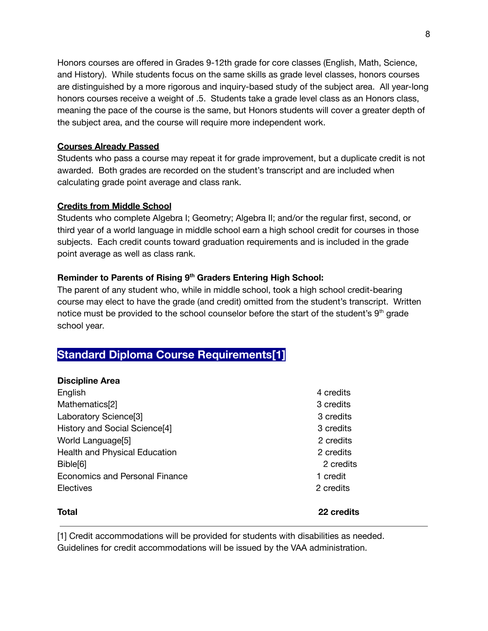Honors courses are offered in Grades 9-12th grade for core classes (English, Math, Science, and History). While students focus on the same skills as grade level classes, honors courses are distinguished by a more rigorous and inquiry-based study of the subject area. All year-long honors courses receive a weight of .5. Students take a grade level class as an Honors class, meaning the pace of the course is the same, but Honors students will cover a greater depth of the subject area, and the course will require more independent work.

## **Courses Already Passed**

Students who pass a course may repeat it for grade improvement, but a duplicate credit is not awarded. Both grades are recorded on the student's transcript and are included when calculating grade point average and class rank.

## **Credits from Middle School**

Students who complete Algebra I; Geometry; Algebra II; and/or the regular first, second, or third year of a world language in middle school earn a high school credit for courses in those subjects. Each credit counts toward graduation requirements and is included in the grade point average as well as class rank.

## **Reminder to Parents of Rising 9 th Graders Entering High School:**

The parent of any student who, while in middle school, took a high school credit-bearing course may elect to have the grade (and credit) omitted from the student's transcript. Written notice must be provided to the school counselor before the start of the student's  $9<sup>th</sup>$  grade school year.

# **Standard Diploma Course Requirements[1]**

## **Discipline Area**

| <b>Total</b>                      | <b>22 credits</b> |
|-----------------------------------|-------------------|
| Electives                         | 2 credits         |
|                                   |                   |
| Economics and Personal Finance    | 1 credit          |
| Bible <sup>[6]</sup>              | 2 credits         |
| Health and Physical Education     | 2 credits         |
| World Language[5]                 | 2 credits         |
| History and Social Science[4]     | 3 credits         |
| Laboratory Science <sup>[3]</sup> | 3 credits         |
| Mathematics[2]                    | 3 credits         |
| English                           | 4 credits         |
|                                   |                   |

[1] Credit accommodations will be provided for students with disabilities as needed. Guidelines for credit accommodations will be issued by the VAA administration.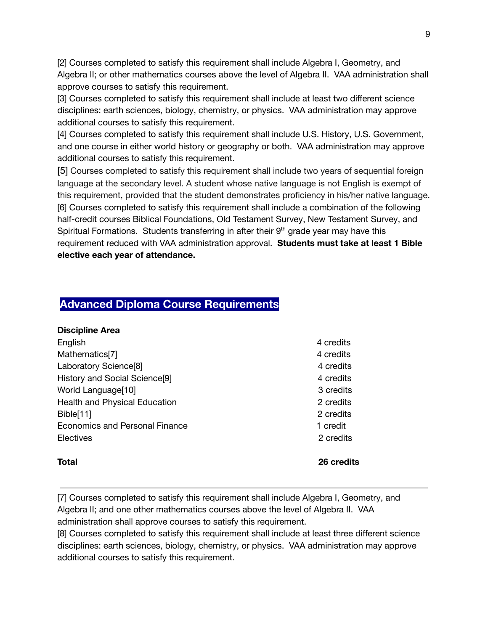[2] Courses completed to satisfy this requirement shall include Algebra I, Geometry, and Algebra II; or other mathematics courses above the level of Algebra II. VAA administration shall approve courses to satisfy this requirement.

[3] Courses completed to satisfy this requirement shall include at least two different science disciplines: earth sciences, biology, chemistry, or physics. VAA administration may approve additional courses to satisfy this requirement.

[4] Courses completed to satisfy this requirement shall include U.S. History, U.S. Government, and one course in either world history or geography or both. VAA administration may approve additional courses to satisfy this requirement.

[5] Courses completed to satisfy this requirement shall include two years of sequential foreign language at the secondary level. A student whose native language is not English is exempt of this requirement, provided that the student demonstrates proficiency in his/her native language. [6] Courses completed to satisfy this requirement shall include a combination of the following half-credit courses Biblical Foundations, Old Testament Survey, New Testament Survey, and Spiritual Formations. Students transferring in after their 9<sup>th</sup> grade year may have this requirement reduced with VAA administration approval. **Students must take at least 1 Bible elective each year of attendance.**

# **Advanced Diploma Course Requirements**

| <b>Discipline Area</b>                    |           |
|-------------------------------------------|-----------|
| English                                   | 4 credits |
| Mathematics[7]                            | 4 credits |
| Laboratory Science <sup>[8]</sup>         | 4 credits |
| History and Social Science <sup>[9]</sup> | 4 credits |
| World Language[10]                        | 3 credits |
| Health and Physical Education             | 2 credits |
| Bible[11]                                 | 2 credits |
| Economics and Personal Finance            | 1 credit  |
| Electives                                 | 2 credits |
|                                           |           |

## **Total 26 credits**

[7] Courses completed to satisfy this requirement shall include Algebra I, Geometry, and Algebra II; and one other mathematics courses above the level of Algebra II. VAA administration shall approve courses to satisfy this requirement.

[8] Courses completed to satisfy this requirement shall include at least three different science disciplines: earth sciences, biology, chemistry, or physics. VAA administration may approve additional courses to satisfy this requirement.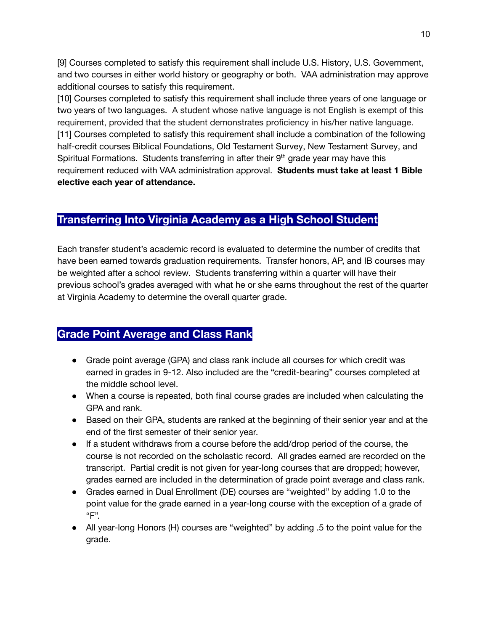[9] Courses completed to satisfy this requirement shall include U.S. History, U.S. Government, and two courses in either world history or geography or both. VAA administration may approve additional courses to satisfy this requirement.

[10] Courses completed to satisfy this requirement shall include three years of one language or two years of two languages. A student whose native language is not English is exempt of this requirement, provided that the student demonstrates proficiency in his/her native language. [11] Courses completed to satisfy this requirement shall include a combination of the following half-credit courses Biblical Foundations, Old Testament Survey, New Testament Survey, and Spiritual Formations. Students transferring in after their 9<sup>th</sup> grade year may have this requirement reduced with VAA administration approval. **Students must take at least 1 Bible elective each year of attendance.**

# **Transferring Into Virginia Academy as a High School Student**

Each transfer student's academic record is evaluated to determine the number of credits that have been earned towards graduation requirements. Transfer honors, AP, and IB courses may be weighted after a school review. Students transferring within a quarter will have their previous school's grades averaged with what he or she earns throughout the rest of the quarter at Virginia Academy to determine the overall quarter grade.

# **Grade Point Average and Class Rank**

- Grade point average (GPA) and class rank include all courses for which credit was earned in grades in 9-12. Also included are the "credit-bearing" courses completed at the middle school level.
- When a course is repeated, both final course grades are included when calculating the GPA and rank.
- Based on their GPA, students are ranked at the beginning of their senior year and at the end of the first semester of their senior year.
- If a student withdraws from a course before the add/drop period of the course, the course is not recorded on the scholastic record. All grades earned are recorded on the transcript. Partial credit is not given for year-long courses that are dropped; however, grades earned are included in the determination of grade point average and class rank.
- Grades earned in Dual Enrollment (DE) courses are "weighted" by adding 1.0 to the point value for the grade earned in a year-long course with the exception of a grade of "F".
- All year-long Honors (H) courses are "weighted" by adding .5 to the point value for the grade.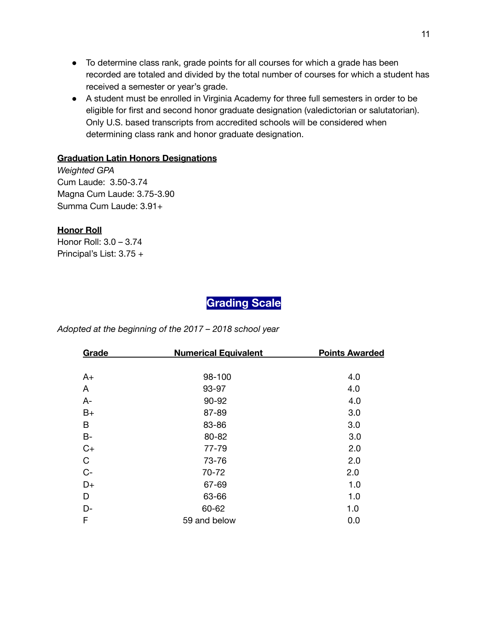- To determine class rank, grade points for all courses for which a grade has been recorded are totaled and divided by the total number of courses for which a student has received a semester or year's grade.
- A student must be enrolled in Virginia Academy for three full semesters in order to be eligible for first and second honor graduate designation (valedictorian or salutatorian). Only U.S. based transcripts from accredited schools will be considered when determining class rank and honor graduate designation.

## **Graduation Latin Honors Designations**

*Weighted GPA* Cum Laude: 3.50-3.74 Magna Cum Laude: 3.75-3.90 Summa Cum Laude: 3.91+

## **Honor Roll**

Honor Roll: 3.0 – 3.74 Principal's List: 3.75 +

# **Grading Scale**

*Adopted at the beginning of the 2017 – 2018 school year*

| Grade<br><b>Numerical Equivalent</b> |              | <b>Points Awarded</b> |
|--------------------------------------|--------------|-----------------------|
|                                      |              |                       |
| $A+$                                 | 98-100       | 4.0                   |
| A                                    | 93-97        | 4.0                   |
| $A -$                                | 90-92        | 4.0                   |
| $B+$                                 | 87-89        | 3.0                   |
| В                                    | 83-86        | 3.0                   |
| $B -$                                | 80-82        | 3.0                   |
| $C+$                                 | 77-79        | 2.0                   |
| $\mathbf C$                          | 73-76        | 2.0                   |
| $C-$                                 | 70-72        | 2.0                   |
| $D+$                                 | 67-69        | 1.0                   |
| D                                    | 63-66        | 1.0                   |
| D-                                   | 60-62        | 1.0                   |
| F                                    | 59 and below | 0.0                   |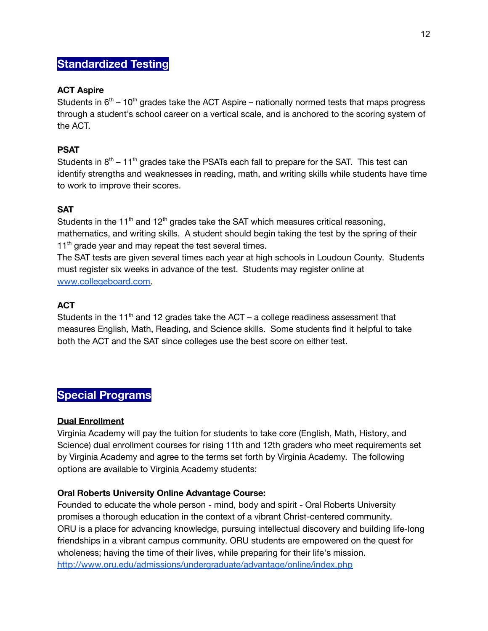# **Standardized Testing**

## **ACT Aspire**

Students in  $6<sup>th</sup>$  – 10<sup>th</sup> grades take the ACT Aspire – nationally normed tests that maps progress through a student's school career on a vertical scale, and is anchored to the scoring system of the ACT.

## **PSAT**

Students in  $8<sup>th</sup> - 11<sup>th</sup>$  grades take the PSATs each fall to prepare for the SAT. This test can identify strengths and weaknesses in reading, math, and writing skills while students have time to work to improve their scores.

## **SAT**

Students in the 11<sup>th</sup> and 12<sup>th</sup> grades take the SAT which measures critical reasoning, mathematics, and writing skills. A student should begin taking the test by the spring of their 11<sup>th</sup> grade year and may repeat the test several times.

The SAT tests are given several times each year at high schools in Loudoun County. Students must register six weeks in advance of the test. Students may register online at [www.collegeboard.com.](http://www.collegeboard.com/)

## **ACT**

Students in the 11<sup>th</sup> and 12 grades take the ACT  $-$  a college readiness assessment that measures English, Math, Reading, and Science skills. Some students find it helpful to take both the ACT and the SAT since colleges use the best score on either test.

# **Special Programs**

## **Dual Enrollment**

Virginia Academy will pay the tuition for students to take core (English, Math, History, and Science) dual enrollment courses for rising 11th and 12th graders who meet requirements set by Virginia Academy and agree to the terms set forth by Virginia Academy. The following options are available to Virginia Academy students:

## **Oral Roberts University Online Advantage Course:**

Founded to educate the whole person - mind, body and spirit - Oral Roberts University promises a thorough education in the context of a vibrant Christ-centered community. ORU is a place for advancing knowledge, pursuing intellectual discovery and building life-long friendships in a vibrant campus community. ORU students are empowered on the quest for wholeness; having the time of their lives, while preparing for their life's mission. <http://www.oru.edu/admissions/undergraduate/advantage/online/index.php>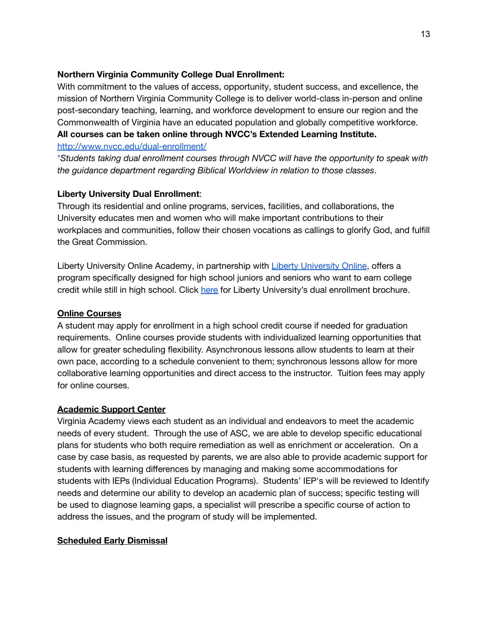## **Northern Virginia Community College Dual Enrollment:**

With commitment to the values of access, opportunity, student success, and excellence, the mission of Northern Virginia Community College is to deliver world-class in-person and online post-secondary teaching, learning, and workforce development to ensure our region and the Commonwealth of Virginia have an educated population and globally competitive workforce. **All courses can be taken online through NVCC's Extended Learning Institute.**

#### <http://www.nvcc.edu/dual-enrollment/>

\**Students taking dual enrollment courses through NVCC will have the opportunity to speak with the guidance department regarding Biblical Worldview in relation to those classes*.

## **Liberty University Dual Enrollment**:

Through its residential and online programs, services, facilities, and collaborations, the University educates men and women who will make important contributions to their workplaces and communities, follow their chosen vocations as callings to glorify God, and fulfill the Great Commission.

Liberty University Online Academy, in partnership with Liberty [University](https://www.liberty.edu/online/) Online, offers a program specifically designed for high school juniors and seniors who want to earn college credit while still in high school. Click [here](https://www.liberty.edu/online-academy/dual-enrollment-brochure/) for Liberty University's dual enrollment brochure.

## **Online Courses**

A student may apply for enrollment in a high school credit course if needed for graduation requirements. Online courses provide students with individualized learning opportunities that allow for greater scheduling flexibility. Asynchronous lessons allow students to learn at their own pace, according to a schedule convenient to them; synchronous lessons allow for more collaborative learning opportunities and direct access to the instructor. Tuition fees may apply for online courses.

## **Academic Support Center**

Virginia Academy views each student as an individual and endeavors to meet the academic needs of every student. Through the use of ASC, we are able to develop specific educational plans for students who both require remediation as well as enrichment or acceleration. On a case by case basis, as requested by parents, we are also able to provide academic support for students with learning differences by managing and making some accommodations for students with IEPs (Individual Education Programs). Students' IEP's will be reviewed to Identify needs and determine our ability to develop an academic plan of success; specific testing will be used to diagnose learning gaps, a specialist will prescribe a specific course of action to address the issues, and the program of study will be implemented.

## **Scheduled Early Dismissal**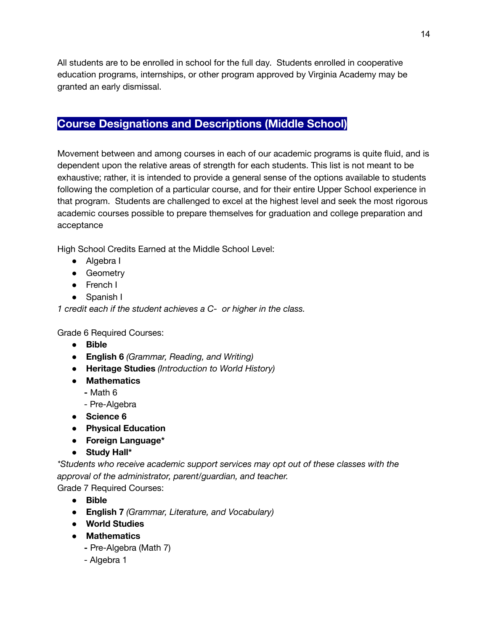All students are to be enrolled in school for the full day. Students enrolled in cooperative education programs, internships, or other program approved by Virginia Academy may be granted an early dismissal.

# **Course Designations and Descriptions (Middle School)**

Movement between and among courses in each of our academic programs is quite fluid, and is dependent upon the relative areas of strength for each students. This list is not meant to be exhaustive; rather, it is intended to provide a general sense of the options available to students following the completion of a particular course, and for their entire Upper School experience in that program. Students are challenged to excel at the highest level and seek the most rigorous academic courses possible to prepare themselves for graduation and college preparation and acceptance

High School Credits Earned at the Middle School Level:

- Algebra I
- Geometry
- French I
- Spanish I

*1 credit each if the student achieves a C- or higher in the class.*

Grade 6 Required Courses:

- **Bible**
- **English 6** *(Grammar, Reading, and Writing)*
- **Heritage Studies** *(Introduction to World History)*
- **Mathematics**
	- **-** Math 6
	- Pre-Algebra
- **Science 6**
- **Physical Education**
- **Foreign Language\***
- **Study Hall\***

*\*Students who receive academic support services may opt out of these classes with the approval of the administrator, parent/guardian, and teacher.*

Grade 7 Required Courses:

- **Bible**
- **English 7** *(Grammar, Literature, and Vocabulary)*
- **World Studies**
- **Mathematics**
	- **-** Pre-Algebra (Math 7)
	- Algebra 1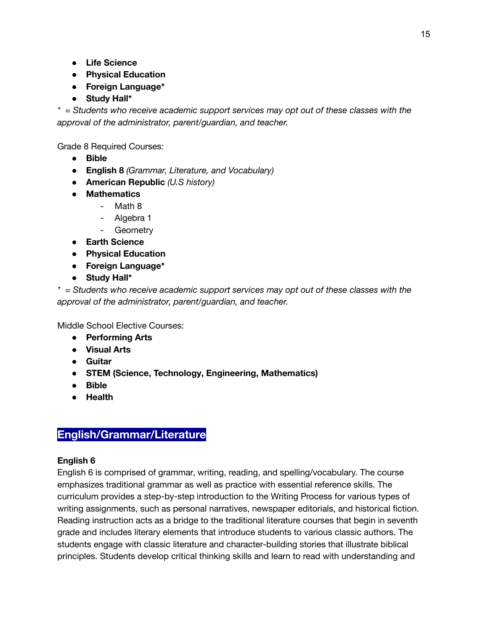15

- **Life Science**
- **Physical Education**
- **Foreign Language\***
- **Study Hall\***

*\* = Students who receive academic support services may opt out of these classes with the approval of the administrator, parent/guardian, and teacher.*

Grade 8 Required Courses:

- **Bible**
- **English 8** *(Grammar, Literature, and Vocabulary)*
- **American Republic** *(U.S history)*
- **Mathematics**
	- Math 8
	- Algebra 1
	- Geometry
- **Earth Science**
- **Physical Education**
- **Foreign Language\***
- **Study Hall\***

*\* = Students who receive academic support services may opt out of these classes with the approval of the administrator, parent/guardian, and teacher.*

Middle School Elective Courses:

- **Performing Arts**
- **Visual Arts**
- **Guitar**
- **STEM (Science, Technology, Engineering, Mathematics)**
- **● Bible**
- **● Health**

# **English/Grammar/Literature**

## **English 6**

English 6 is comprised of grammar, writing, reading, and spelling/vocabulary. The course emphasizes traditional grammar as well as practice with essential reference skills. The curriculum provides a step-by-step introduction to the Writing Process for various types of writing assignments, such as personal narratives, newspaper editorials, and historical fiction. Reading instruction acts as a bridge to the traditional literature courses that begin in seventh grade and includes literary elements that introduce students to various classic authors. The students engage with classic literature and character-building stories that illustrate biblical principles. Students develop critical thinking skills and learn to read with understanding and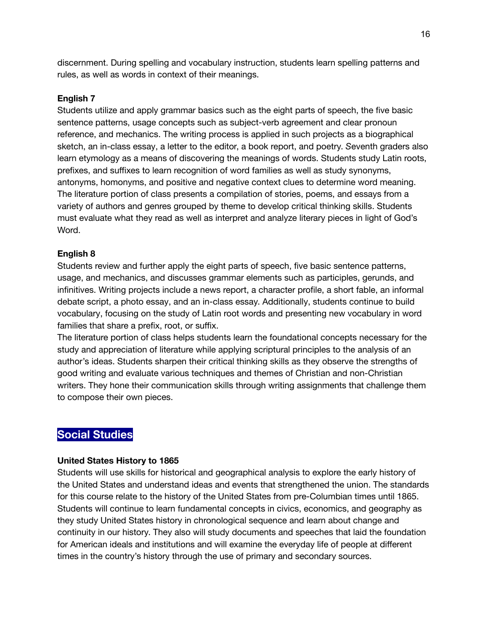discernment. During spelling and vocabulary instruction, students learn spelling patterns and rules, as well as words in context of their meanings.

## **English 7**

Students utilize and apply grammar basics such as the eight parts of speech, the five basic sentence patterns, usage concepts such as subject-verb agreement and clear pronoun reference, and mechanics. The writing process is applied in such projects as a biographical sketch, an in-class essay, a letter to the editor, a book report, and poetry. *S*eventh graders also learn etymology as a means of discovering the meanings of words. Students study Latin roots, prefixes, and suffixes to learn recognition of word families as well as study synonyms, antonyms, homonyms, and positive and negative context clues to determine word meaning. The literature portion of class presents a compilation of stories, poems, and essays from a variety of authors and genres grouped by theme to develop critical thinking skills. Students must evaluate what they read as well as interpret and analyze literary pieces in light of God's Word.

## **English 8**

Students review and further apply the eight parts of speech, five basic sentence patterns, usage, and mechanics, and discusses grammar elements such as participles, gerunds, and infinitives. Writing projects include a news report, a character profile, a short fable, an informal debate script, a photo essay, and an in-class essay. Additionally, students continue to build vocabulary, focusing on the study of Latin root words and presenting new vocabulary in word families that share a prefix, root, or suffix.

The literature portion of class helps students learn the foundational concepts necessary for the study and appreciation of literature while applying scriptural principles to the analysis of an author's ideas. Students sharpen their critical thinking skills as they observe the strengths of good writing and evaluate various techniques and themes of Christian and non-Christian writers. They hone their communication skills through writing assignments that challenge them to compose their own pieces.

# **Social Studies**

## **United States History to 1865**

Students will use skills for historical and geographical analysis to explore the early history of the United States and understand ideas and events that strengthened the union. The standards for this course relate to the history of the United States from pre-Columbian times until 1865. Students will continue to learn fundamental concepts in civics, economics, and geography as they study United States history in chronological sequence and learn about change and continuity in our history. They also will study documents and speeches that laid the foundation for American ideals and institutions and will examine the everyday life of people at different times in the country's history through the use of primary and secondary sources.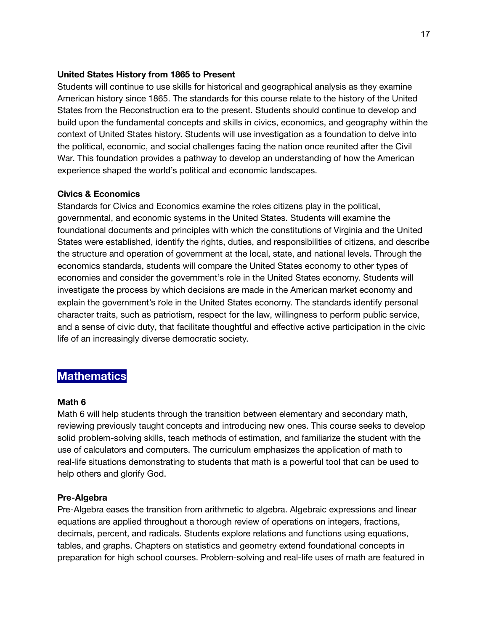#### **United States History from 1865 to Present**

Students will continue to use skills for historical and geographical analysis as they examine American history since 1865. The standards for this course relate to the history of the United States from the Reconstruction era to the present. Students should continue to develop and build upon the fundamental concepts and skills in civics, economics, and geography within the context of United States history. Students will use investigation as a foundation to delve into the political, economic, and social challenges facing the nation once reunited after the Civil War. This foundation provides a pathway to develop an understanding of how the American experience shaped the world's political and economic landscapes.

#### **Civics & Economics**

Standards for Civics and Economics examine the roles citizens play in the political, governmental, and economic systems in the United States. Students will examine the foundational documents and principles with which the constitutions of Virginia and the United States were established, identify the rights, duties, and responsibilities of citizens, and describe the structure and operation of government at the local, state, and national levels. Through the economics standards, students will compare the United States economy to other types of economies and consider the government's role in the United States economy. Students will investigate the process by which decisions are made in the American market economy and explain the government's role in the United States economy. The standards identify personal character traits, such as patriotism, respect for the law, willingness to perform public service, and a sense of civic duty, that facilitate thoughtful and effective active participation in the civic life of an increasingly diverse democratic society.

## **Mathematics**

#### **Math 6**

Math 6 will help students through the transition between elementary and secondary math, reviewing previously taught concepts and introducing new ones. This course seeks to develop solid problem-solving skills, teach methods of estimation, and familiarize the student with the use of calculators and computers. The curriculum emphasizes the application of math to real-life situations demonstrating to students that math is a powerful tool that can be used to help others and glorify God.

#### **Pre-Algebra**

Pre-Algebra eases the transition from arithmetic to algebra. Algebraic expressions and linear equations are applied throughout a thorough review of operations on integers, fractions, decimals, percent, and radicals. Students explore relations and functions using equations, tables, and graphs. Chapters on statistics and geometry extend foundational concepts in preparation for high school courses. Problem-solving and real-life uses of math are featured in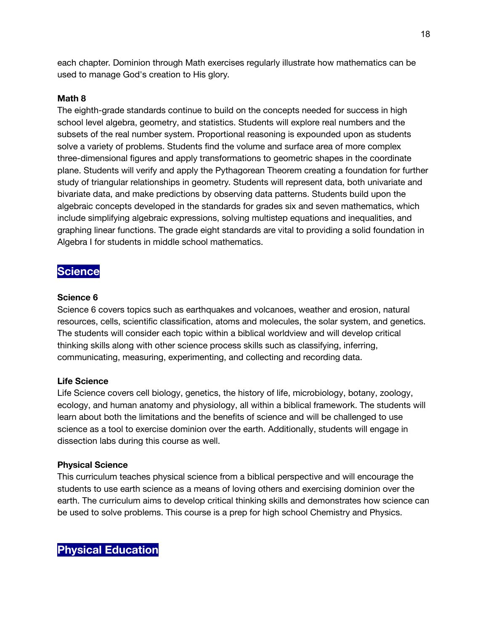each chapter. Dominion through Math exercises regularly illustrate how mathematics can be used to manage God's creation to His glory.

## **Math 8**

The eighth-grade standards continue to build on the concepts needed for success in high school level algebra, geometry, and statistics. Students will explore real numbers and the subsets of the real number system. Proportional reasoning is expounded upon as students solve a variety of problems. Students find the volume and surface area of more complex three-dimensional figures and apply transformations to geometric shapes in the coordinate plane. Students will verify and apply the Pythagorean Theorem creating a foundation for further study of triangular relationships in geometry. Students will represent data, both univariate and bivariate data, and make predictions by observing data patterns. Students build upon the algebraic concepts developed in the standards for grades six and seven mathematics, which include simplifying algebraic expressions, solving multistep equations and inequalities, and graphing linear functions. The grade eight standards are vital to providing a solid foundation in Algebra I for students in middle school mathematics.

# **Science**

## **Science 6**

Science 6 covers topics such as earthquakes and volcanoes, weather and erosion, natural resources, cells, scientific classification, atoms and molecules, the solar system, and genetics. The students will consider each topic within a biblical worldview and will develop critical thinking skills along with other science process skills such as classifying, inferring, communicating, measuring, experimenting, and collecting and recording data.

## **Life Science**

Life Science covers cell biology, genetics, the history of life, microbiology, botany, zoology, ecology, and human anatomy and physiology, all within a biblical framework. The students will learn about both the limitations and the benefits of science and will be challenged to use science as a tool to exercise dominion over the earth. Additionally, students will engage in dissection labs during this course as well.

## **Physical Science**

This curriculum teaches physical science from a biblical perspective and will encourage the students to use earth science as a means of loving others and exercising dominion over the earth. The curriculum aims to develop critical thinking skills and demonstrates how science can be used to solve problems. This course is a prep for high school Chemistry and Physics.

**Physical Education**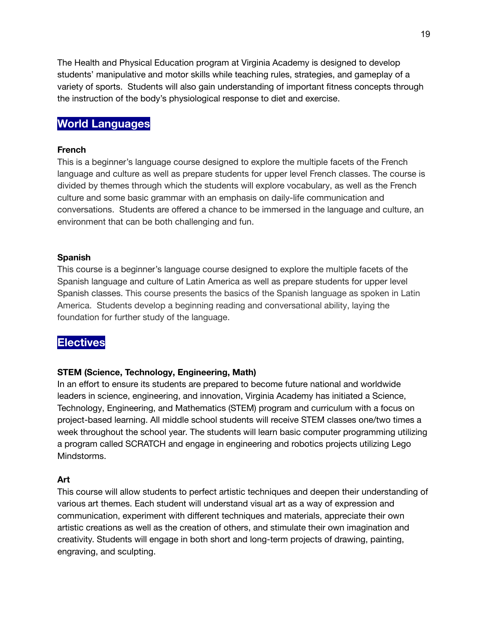The Health and Physical Education program at Virginia Academy is designed to develop students' manipulative and motor skills while teaching rules, strategies, and gameplay of a variety of sports. Students will also gain understanding of important fitness concepts through the instruction of the body's physiological response to diet and exercise.

# **World Languages**

#### **French**

This is a beginner's language course designed to explore the multiple facets of the French language and culture as well as prepare students for upper level French classes. The course is divided by themes through which the students will explore vocabulary, as well as the French culture and some basic grammar with an emphasis on daily-life communication and conversations. Students are offered a chance to be immersed in the language and culture, an environment that can be both challenging and fun.

#### **Spanish**

This course is a beginner's language course designed to explore the multiple facets of the Spanish language and culture of Latin America as well as prepare students for upper level Spanish classes. This course presents the basics of the Spanish language as spoken in Latin America. Students develop a beginning reading and conversational ability, laying the foundation for further study of the language.

## **Electives**

## **STEM (Science, Technology, Engineering, Math)**

In an effort to ensure its students are prepared to become future national and worldwide leaders in science, engineering, and innovation, Virginia Academy has initiated a Science, Technology, Engineering, and Mathematics (STEM) program and curriculum with a focus on project-based learning. All middle school students will receive STEM classes one/two times a week throughout the school year. The students will learn basic computer programming utilizing a program called SCRATCH and engage in engineering and robotics projects utilizing Lego Mindstorms.

#### **Art**

This course will allow students to perfect artistic techniques and deepen their understanding of various art themes. Each student will understand visual art as a way of expression and communication, experiment with different techniques and materials, appreciate their own artistic creations as well as the creation of others, and stimulate their own imagination and creativity. Students will engage in both short and long-term projects of drawing, painting, engraving, and sculpting.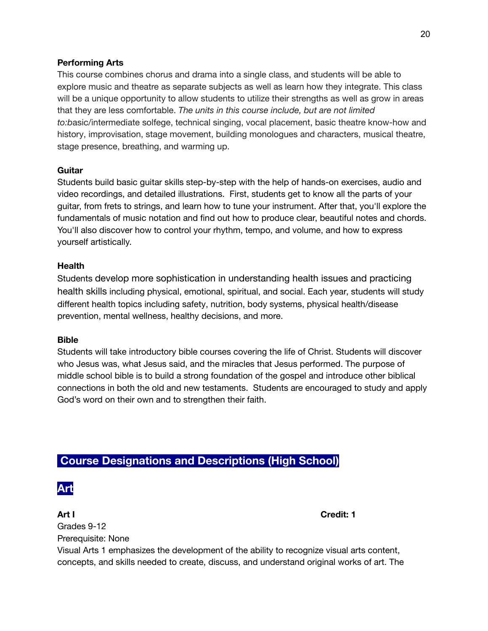## **Performing Arts**

This course combines chorus and drama into a single class, and students will be able to explore music and theatre as separate subjects as well as learn how they integrate. This class will be a unique opportunity to allow students to utilize their strengths as well as grow in areas that they are less comfortable. *The units in this course include, but are not limited to:b*asic/intermediate solfege, technical singing, vocal placement, basic theatre know-how and history, improvisation, stage movement, building monologues and characters, musical theatre, stage presence, breathing, and warming up.

#### **Guitar**

Students build basic guitar skills step-by-step with the help of hands-on exercises, audio and video recordings, and detailed illustrations. First, students get to know all the parts of your guitar, from frets to strings, and learn how to tune your instrument. After that, you'll explore the fundamentals of music notation and find out how to produce clear, beautiful notes and chords. You'll also discover how to control your rhythm, tempo, and volume, and how to express yourself artistically.

#### **Health**

Students develop more sophistication in understanding health issues and practicing health skills including physical, emotional, spiritual, and social. Each year, students will study different health topics including safety, nutrition, body systems, physical health/disease prevention, mental wellness, healthy decisions, and more.

#### **Bible**

Students will take introductory bible courses covering the life of Christ. Students will discover who Jesus was, what Jesus said, and the miracles that Jesus performed. The purpose of middle school bible is to build a strong foundation of the gospel and introduce other biblical connections in both the old and new testaments. Students are encouraged to study and apply God's word on their own and to strengthen their faith.

# **Course Designations and Descriptions (High School)**



**Art I Credit: 1**

Grades 9-12 Prerequisite: None

Visual Arts 1 emphasizes the development of the ability to recognize visual arts content, concepts, and skills needed to create, discuss, and understand original works of art. The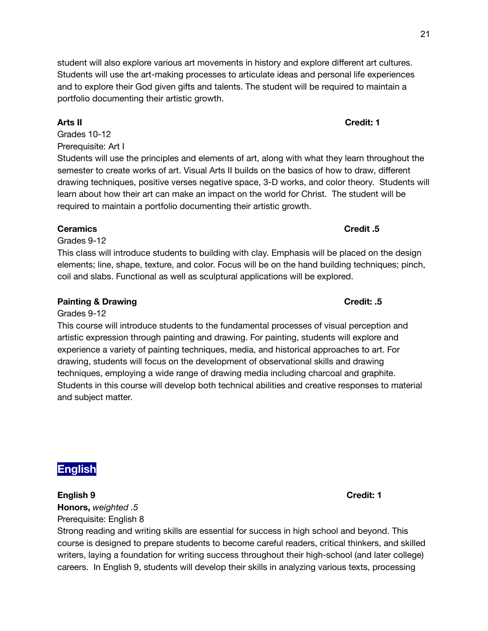student will also explore various art movements in history and explore different art cultures. Students will use the art-making processes to articulate ideas and personal life experiences and to explore their God given gifts and talents. The student will be required to maintain a portfolio documenting their artistic growth.

Grades 10-12 Prerequisite: Art I

Students will use the principles and elements of art, along with what they learn throughout the semester to create works of art. Visual Arts II builds on the basics of how to draw, different drawing techniques, positive verses negative space, 3-D works, and color theory. Students will learn about how their art can make an impact on the world for Christ. The student will be required to maintain a portfolio documenting their artistic growth.

## **Ceramics Credit .5**

Grades 9-12

This class will introduce students to building with clay. Emphasis will be placed on the design elements; line, shape, texture, and color. Focus will be on the hand building techniques; pinch, coil and slabs. Functional as well as sculptural applications will be explored.

## **Painting & Drawing Credit: .5**

## Grades 9-12

This course will introduce students to the fundamental processes of visual perception and artistic expression through painting and drawing. For painting, students will explore and experience a variety of painting techniques, media, and historical approaches to art. For drawing, students will focus on the development of observational skills and drawing techniques, employing a wide range of drawing media including charcoal and graphite. Students in this course will develop both technical abilities and creative responses to material and subject matter.

**English**

## **English 9 Credit: 1 Honors,** *weighted .5* Prerequisite: English 8

Strong reading and writing skills are essential for success in high school and beyond. This course is designed to prepare students to become careful readers, critical thinkers, and skilled writers, laying a foundation for writing success throughout their high-school (and later college) careers. In English 9, students will develop their skills in analyzing various texts, processing

# **Arts II Credit: 1**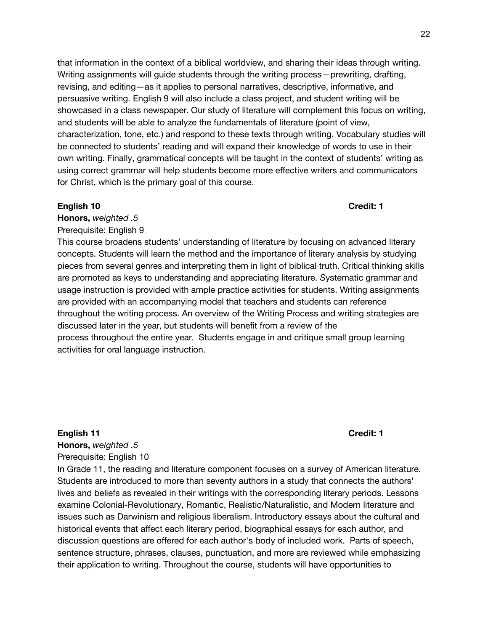that information in the context of a biblical worldview, and sharing their ideas through writing. Writing assignments will guide students through the writing process—prewriting, drafting, revising, and editing—as it applies to personal narratives, descriptive, informative, and persuasive writing. English 9 will also include a class project, and student writing will be showcased in a class newspaper. Our study of literature will complement this focus on writing, and students will be able to analyze the fundamentals of literature (point of view, characterization, tone, etc.) and respond to these texts through writing. Vocabulary studies will be connected to students' reading and will expand their knowledge of words to use in their own writing. Finally, grammatical concepts will be taught in the context of students' writing as using correct grammar will help students become more effective writers and communicators for Christ, which is the primary goal of this course.

#### **English 10 Credit: 1**

**Honors,** *weighted .5* Prerequisite: English 9

This course broadens students' understanding of literature by focusing on advanced literary concepts. Students will learn the method and the importance of literary analysis by studying pieces from several genres and interpreting them in light of biblical truth. Critical thinking skills are promoted as keys to understanding and appreciating literature. *S*ystematic grammar and usage instruction is provided with ample practice activities for students. Writing assignments are provided with an accompanying model that teachers and students can reference throughout the writing process. An overview of the Writing Process and writing strategies are discussed later in the year, but students will benefit from a review of the process throughout the entire year. Students engage in and critique small group learning activities for oral language instruction.

#### **English 11 Credit: 1**

**Honors,** *weighted .5* Prerequisite: English 10

In Grade 11, the reading and literature component focuses on a survey of American literature. Students are introduced to more than seventy authors in a study that connects the authors' lives and beliefs as revealed in their writings with the corresponding literary periods. Lessons examine Colonial-Revolutionary, Romantic, Realistic/Naturalistic, and Modern literature and issues such as Darwinism and religious liberalism. Introductory essays about the cultural and historical events that affect each literary period, biographical essays for each author, and discussion questions are offered for each author's body of included work. Parts of speech, sentence structure, phrases, clauses, punctuation, and more are reviewed while emphasizing their application to writing. Throughout the course, students will have opportunities to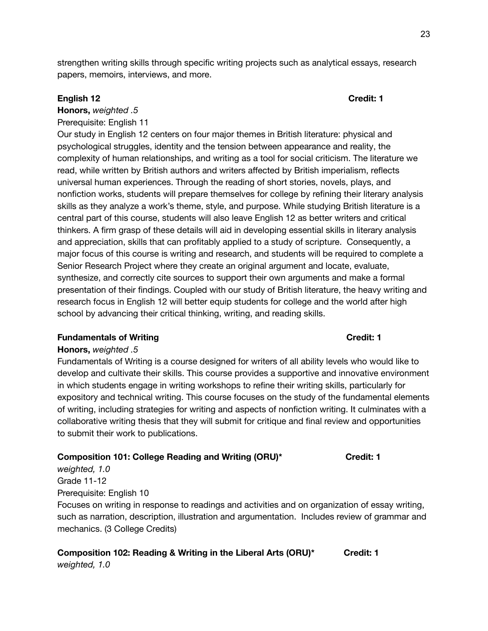strengthen writing skills through specific writing projects such as analytical essays, research papers, memoirs, interviews, and more.

#### **English 12 Credit: 1**

# **Honors,** *weighted .5*

Prerequisite: English 11

Our study in English 12 centers on four major themes in British literature: physical and psychological struggles, identity and the tension between appearance and reality, the complexity of human relationships, and writing as a tool for social criticism. The literature we read, while written by British authors and writers affected by British imperialism, reflects universal human experiences. Through the reading of short stories, novels, plays, and nonfiction works, students will prepare themselves for college by refining their literary analysis skills as they analyze a work's theme, style, and purpose. While studying British literature is a central part of this course, students will also leave English 12 as better writers and critical thinkers. A firm grasp of these details will aid in developing essential skills in literary analysis and appreciation, skills that can profitably applied to a study of scripture. Consequently, a major focus of this course is writing and research, and students will be required to complete a Senior Research Project where they create an original argument and locate, evaluate, synthesize, and correctly cite sources to support their own arguments and make a formal presentation of their findings. Coupled with our study of British literature, the heavy writing and research focus in English 12 will better equip students for college and the world after high school by advancing their critical thinking, writing, and reading skills.

#### **Fundamentals of Writing Credit: 1**

#### **Honors,** *weighted .5*

Fundamentals of Writing is a course designed for writers of all ability levels who would like to develop and cultivate their skills. This course provides a supportive and innovative environment in which students engage in writing workshops to refine their writing skills, particularly for expository and technical writing. This course focuses on the study of the fundamental elements of writing, including strategies for writing and aspects of nonfiction writing. It culminates with a collaborative writing thesis that they will submit for critique and final review and opportunities to submit their work to publications.

#### **Composition 101: College Reading and Writing (ORU)\* Credit: 1**

*weighted, 1.0* Grade 11-12 Prerequisite: English 10

Focuses on writing in response to readings and activities and on organization of essay writing, such as narration, description, illustration and argumentation. Includes review of grammar and mechanics. (3 College Credits)

**Composition 102: Reading & Writing in the Liberal Arts (ORU)\* Credit: 1** *weighted, 1.0*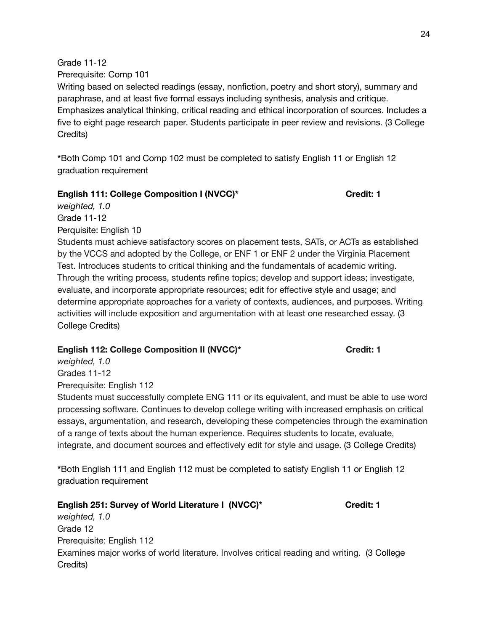Grade 11-12

Prerequisite: Comp 101

Writing based on selected readings (essay, nonfiction, poetry and short story), summary and paraphrase, and at least five formal essays including synthesis, analysis and critique. Emphasizes analytical thinking, critical reading and ethical incorporation of sources. Includes a five to eight page research paper. Students participate in peer review and revisions. (3 College Credits)

**\***Both Comp 101 and Comp 102 must be completed to satisfy English 11 or English 12 graduation requirement

## **English 111: College Composition I (NVCC)\* Credit: 1**

*weighted, 1.0* Grade 11-12 Perquisite: English 10

Students must achieve satisfactory scores on placement tests, SATs, or ACTs as established by the VCCS and adopted by the College, or ENF 1 or ENF 2 under the Virginia Placement Test. Introduces students to critical thinking and the fundamentals of academic writing. Through the writing process, students refine topics; develop and support ideas; investigate, evaluate, and incorporate appropriate resources; edit for effective style and usage; and determine appropriate approaches for a variety of contexts, audiences, and purposes. Writing activities will include exposition and argumentation with at least one researched essay. (3 College Credits)

## **English 112: College Composition II (NVCC)\* Credit: 1**

*weighted, 1.0* Grades 11-12 Prerequisite: English 112

Students must successfully complete ENG 111 or its equivalent, and must be able to use word processing software. Continues to develop college writing with increased emphasis on critical essays, argumentation, and research, developing these competencies through the examination of a range of texts about the human experience. Requires students to locate, evaluate, integrate, and document sources and effectively edit for style and usage. (3 College Credits)

**\***Both English 111 and English 112 must be completed to satisfy English 11 or English 12 graduation requirement

## **English 251: Survey of World Literature I (NVCC)\* Credit: 1** *weighted, 1.0* Grade 12 Prerequisite: English 112

Examines major works of world literature. Involves critical reading and writing. (3 College Credits)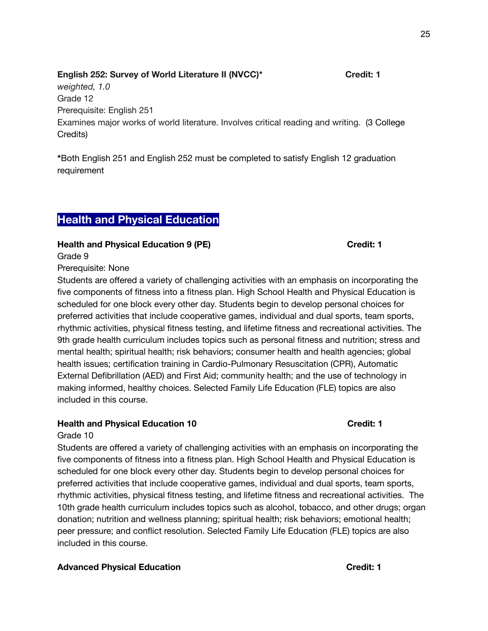## **English 252: Survey of World Literature II (NVCC)\* Credit: 1** *weighted, 1.0* Grade 12 Prerequisite: English 251 Examines major works of world literature. Involves critical reading and writing. (3 College Credits)

**\***Both English 251 and English 252 must be completed to satisfy English 12 graduation requirement

## **Health and Physical Education**

**Health and Physical Education 9 (PE) Credit: 1**

Prerequisite: None

Grade 9

Students are offered a variety of challenging activities with an emphasis on incorporating the five components of fitness into a fitness plan. High School Health and Physical Education is scheduled for one block every other day. Students begin to develop personal choices for preferred activities that include cooperative games, individual and dual sports, team sports, rhythmic activities, physical fitness testing, and lifetime fitness and recreational activities. The 9th grade health curriculum includes topics such as personal fitness and nutrition; stress and mental health; spiritual health; risk behaviors; consumer health and health agencies; global health issues; certification training in Cardio-Pulmonary Resuscitation (CPR), Automatic External Defibrillation (AED) and First Aid; community health; and the use of technology in making informed, healthy choices. Selected Family Life Education (FLE) topics are also included in this course.

## **Health and Physical Education 10 Credit: 1**

## Grade 10

Students are offered a variety of challenging activities with an emphasis on incorporating the five components of fitness into a fitness plan. High School Health and Physical Education is scheduled for one block every other day. Students begin to develop personal choices for preferred activities that include cooperative games, individual and dual sports, team sports, rhythmic activities, physical fitness testing, and lifetime fitness and recreational activities. The 10th grade health curriculum includes topics such as alcohol, tobacco, and other drugs; organ donation; nutrition and wellness planning; spiritual health; risk behaviors; emotional health; peer pressure; and conflict resolution. Selected Family Life Education (FLE) topics are also included in this course.

## **Advanced Physical Education Credit: 1**

25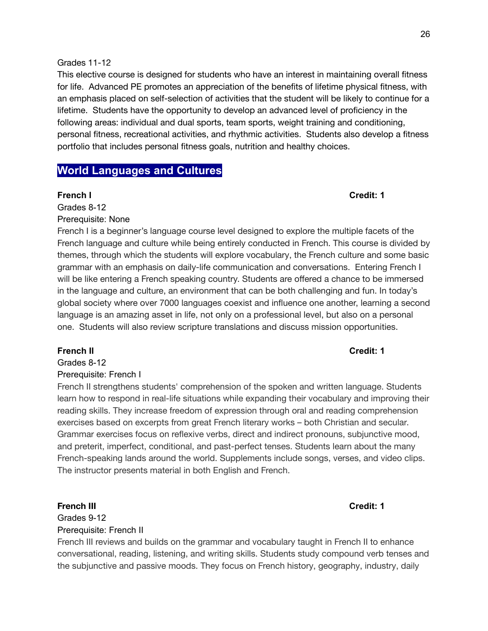This elective course is designed for students who have an interest in maintaining overall fitness for life. Advanced PE promotes an appreciation of the benefits of lifetime physical fitness, with an emphasis placed on self-selection of activities that the student will be likely to continue for a lifetime. Students have the opportunity to develop an advanced level of proficiency in the following areas: individual and dual sports, team sports, weight training and conditioning, personal fitness, recreational activities, and rhythmic activities. Students also develop a fitness portfolio that includes personal fitness goals, nutrition and healthy choices.

## **World Languages and Cultures**

**French I Credit: 1**

Grades 8-12

Prerequisite: None

French I is a beginner's language course level designed to explore the multiple facets of the French language and culture while being entirely conducted in French. This course is divided by themes, through which the students will explore vocabulary, the French culture and some basic grammar with an emphasis on daily-life communication and conversations. Entering French I will be like entering a French speaking country. Students are offered a chance to be immersed in the language and culture, an environment that can be both challenging and fun. In today's global society where over 7000 languages coexist and influence one another, learning a second language is an amazing asset in life, not only on a professional level, but also on a personal one. Students will also review scripture translations and discuss mission opportunities.

#### **French II Credit: 1**

Grades 8-12

#### Prerequisite: French I

French II strengthens students' comprehension of the spoken and written language. Students learn how to respond in real-life situations while expanding their vocabulary and improving their reading skills. They increase freedom of expression through oral and reading comprehension exercises based on excerpts from great French literary works – both Christian and secular. Grammar exercises focus on reflexive verbs, direct and indirect pronouns, subjunctive mood, and preterit, imperfect, conditional, and past-perfect tenses. Students learn about the many French-speaking lands around the world. Supplements include songs, verses, and video clips. The instructor presents material in both English and French.

#### **French III Credit: 1**

Grades 9-12 Prerequisite: French II

French III reviews and builds on the grammar and vocabulary taught in French II to enhance conversational, reading, listening, and writing skills. Students study compound verb tenses and the subjunctive and passive moods. They focus on French history, geography, industry, daily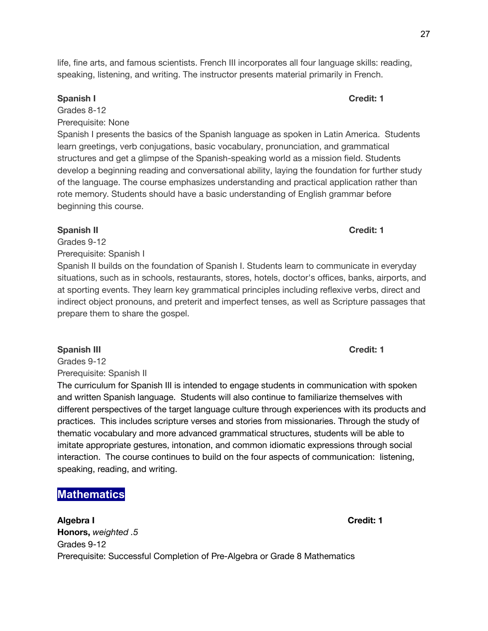27

life, fine arts, and famous scientists. French III incorporates all four language skills: reading, speaking, listening, and writing. The instructor presents material primarily in French.

## **Spanish I Credit: 1**

Grades 8-12

Prerequisite: None

Spanish I presents the basics of the Spanish language as spoken in Latin America. Students learn greetings, verb conjugations, basic vocabulary, pronunciation, and grammatical structures and get a glimpse of the Spanish-speaking world as a mission field. Students develop a beginning reading and conversational ability, laying the foundation for further study of the language. The course emphasizes understanding and practical application rather than rote memory. Students should have a basic understanding of English grammar before beginning this course.

## **Spanish II Credit: 1**

Grades 9-12 Prerequisite: Spanish I

Spanish II builds on the foundation of Spanish I. Students learn to communicate in everyday situations, such as in schools, restaurants, stores, hotels, doctor's offices, banks, airports, and at sporting events. They learn key grammatical principles including reflexive verbs, direct and indirect object pronouns, and preterit and imperfect tenses, as well as Scripture passages that prepare them to share the gospel.

## **Spanish III Credit: 1**

Grades 9-12 Prerequisite: Spanish II

The curriculum for Spanish III is intended to engage students in communication with spoken and written Spanish language. Students will also continue to familiarize themselves with different perspectives of the target language culture through experiences with its products and practices. This includes scripture verses and stories from missionaries. Through the study of thematic vocabulary and more advanced grammatical structures, students will be able to imitate appropriate gestures, intonation, and common idiomatic expressions through social interaction. The course continues to build on the four aspects of communication: listening, speaking, reading, and writing.

# **Mathematics**

**Algebra I Credit: 1 Honors,** *weighted .5* Grades 9-12 Prerequisite: Successful Completion of Pre-Algebra or Grade 8 Mathematics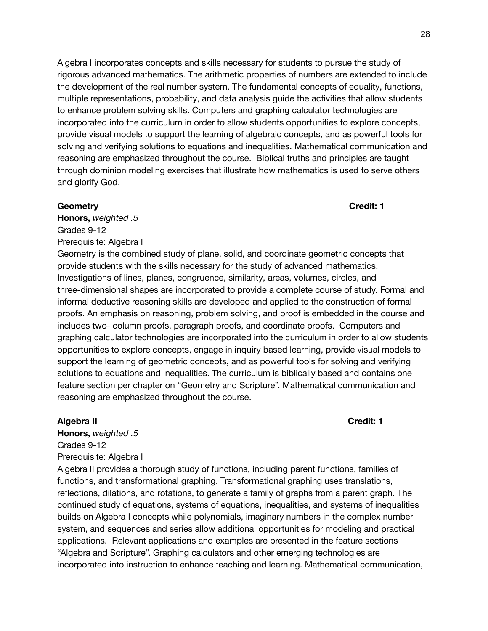Algebra I incorporates concepts and skills necessary for students to pursue the study of rigorous advanced mathematics. The arithmetic properties of numbers are extended to include the development of the real number system. The fundamental concepts of equality, functions, multiple representations, probability, and data analysis guide the activities that allow students to enhance problem solving skills. Computers and graphing calculator technologies are incorporated into the curriculum in order to allow students opportunities to explore concepts, provide visual models to support the learning of algebraic concepts, and as powerful tools for solving and verifying solutions to equations and inequalities. Mathematical communication and reasoning are emphasized throughout the course. Biblical truths and principles are taught through dominion modeling exercises that illustrate how mathematics is used to serve others and glorify God.

#### **Geometry Credit: 1**

**Honors,** *weighted .5* Grades 9-12 Prerequisite: Algebra I

Geometry is the combined study of plane, solid, and coordinate geometric concepts that provide students with the skills necessary for the study of advanced mathematics. Investigations of lines, planes, congruence, similarity, areas, volumes, circles, and three-dimensional shapes are incorporated to provide a complete course of study. Formal and informal deductive reasoning skills are developed and applied to the construction of formal proofs. An emphasis on reasoning, problem solving, and proof is embedded in the course and includes two- column proofs, paragraph proofs, and coordinate proofs. Computers and graphing calculator technologies are incorporated into the curriculum in order to allow students opportunities to explore concepts, engage in inquiry based learning, provide visual models to support the learning of geometric concepts, and as powerful tools for solving and verifying solutions to equations and inequalities. The curriculum is biblically based and contains one feature section per chapter on "Geometry and Scripture". Mathematical communication and reasoning are emphasized throughout the course.

#### **Algebra II Credit: 1**

**Honors,** *weighted .5* Grades 9-12 Prerequisite: Algebra I

Algebra II provides a thorough study of functions, including parent functions, families of functions, and transformational graphing. Transformational graphing uses translations, reflections, dilations, and rotations, to generate a family of graphs from a parent graph. The continued study of equations, systems of equations, inequalities, and systems of inequalities builds on Algebra I concepts while polynomials, imaginary numbers in the complex number system, and sequences and series allow additional opportunities for modeling and practical applications. Relevant applications and examples are presented in the feature sections "Algebra and Scripture". Graphing calculators and other emerging technologies are incorporated into instruction to enhance teaching and learning. Mathematical communication,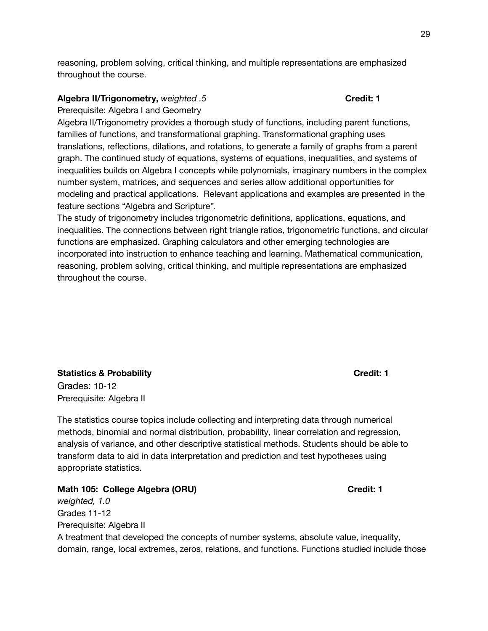reasoning, problem solving, critical thinking, and multiple representations are emphasized throughout the course.

## **Algebra II/Trigonometry,** *weighted .5* **Credit: 1**

Prerequisite: Algebra I and Geometry

Algebra II/Trigonometry provides a thorough study of functions, including parent functions, families of functions, and transformational graphing. Transformational graphing uses translations, reflections, dilations, and rotations, to generate a family of graphs from a parent graph. The continued study of equations, systems of equations, inequalities, and systems of inequalities builds on Algebra I concepts while polynomials, imaginary numbers in the complex number system, matrices, and sequences and series allow additional opportunities for modeling and practical applications. Relevant applications and examples are presented in the feature sections "Algebra and Scripture".

The study of trigonometry includes trigonometric definitions, applications, equations, and inequalities. The connections between right triangle ratios, trigonometric functions, and circular functions are emphasized. Graphing calculators and other emerging technologies are incorporated into instruction to enhance teaching and learning. Mathematical communication, reasoning, problem solving, critical thinking, and multiple representations are emphasized throughout the course.

## **Statistics & Probability Credit: 1** Grades: 10-12 Prerequisite: Algebra II

The statistics course topics include collecting and interpreting data through numerical methods, binomial and normal distribution, probability, linear correlation and regression, analysis of variance, and other descriptive statistical methods. Students should be able to transform data to aid in data interpretation and prediction and test hypotheses using appropriate statistics.

#### **Math 105: College Algebra (ORU) Credit: 1**

*weighted, 1.0* Grades 11-12 Prerequisite: Algebra II A treatment that developed the concepts of number systems, absolute value, inequality, domain, range, local extremes, zeros, relations, and functions. Functions studied include those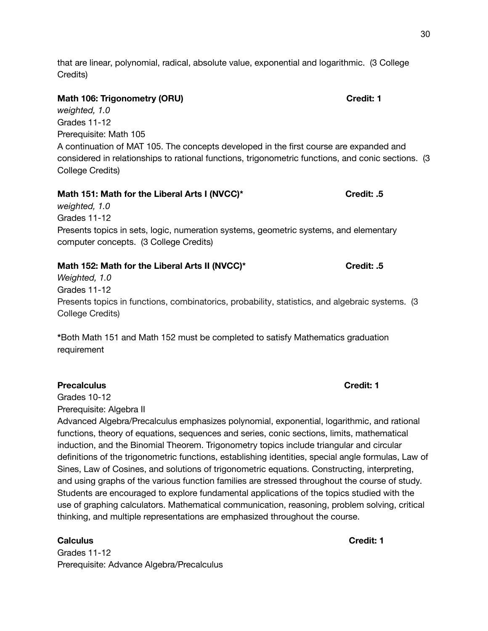that are linear, polynomial, radical, absolute value, exponential and logarithmic. (3 College Credits)

## **Math 106: Trigonometry (ORU) Credit: 1**

*weighted, 1.0* Grades 11-12 Prerequisite: Math 105 A continuation of MAT 105. The concepts developed in the first course are expanded and considered in relationships to rational functions, trigonometric functions, and conic sections. (3 College Credits)

# **Math 151: Math for the Liberal Arts I (NVCC)\* Credit: .5**

*weighted, 1.0* Grades 11-12 Presents topics in sets, logic, numeration systems, geometric systems, and elementary computer concepts. (3 College Credits)

## **Math 152: Math for the Liberal Arts II (NVCC)\* Credit: .5**

*Weighted, 1.0* Grades 11-12 Presents topics in functions, combinatorics, probability, statistics, and algebraic systems. (3 College Credits)

**\***Both Math 151 and Math 152 must be completed to satisfy Mathematics graduation requirement

## **Precalculus Credit: 1**

Grades 10-12

Prerequisite: Algebra II

Advanced Algebra/Precalculus emphasizes polynomial, exponential, logarithmic, and rational functions, theory of equations, sequences and series, conic sections, limits, mathematical induction, and the Binomial Theorem. Trigonometry topics include triangular and circular definitions of the trigonometric functions, establishing identities, special angle formulas, Law of Sines, Law of Cosines, and solutions of trigonometric equations. Constructing, interpreting, and using graphs of the various function families are stressed throughout the course of study. Students are encouraged to explore fundamental applications of the topics studied with the use of graphing calculators. Mathematical communication, reasoning, problem solving, critical thinking, and multiple representations are emphasized throughout the course.

## **Calculus Credit: 1**

Grades 11-12 Prerequisite: Advance Algebra/Precalculus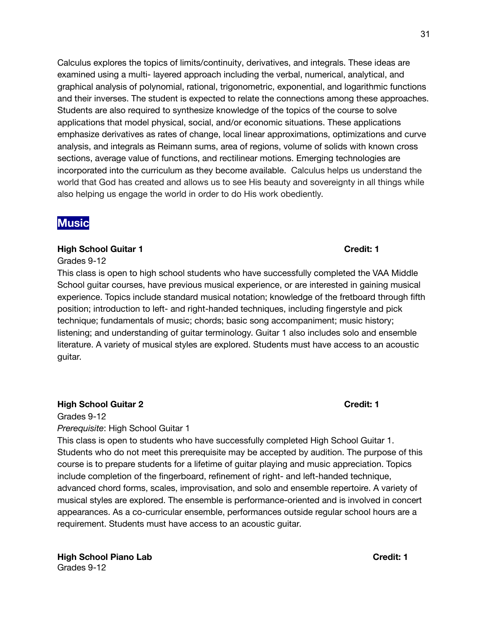Calculus explores the topics of limits/continuity, derivatives, and integrals. These ideas are examined using a multi- layered approach including the verbal, numerical, analytical, and graphical analysis of polynomial, rational, trigonometric, exponential, and logarithmic functions and their inverses. The student is expected to relate the connections among these approaches. Students are also required to synthesize knowledge of the topics of the course to solve applications that model physical, social, and/or economic situations. These applications emphasize derivatives as rates of change, local linear approximations, optimizations and curve analysis, and integrals as Reimann sums, area of regions, volume of solids with known cross sections, average value of functions, and rectilinear motions. Emerging technologies are incorporated into the curriculum as they become available. Calculus helps us understand the world that God has created and allows us to see His beauty and sovereignty in all things while also helping us engage the world in order to do His work obediently.

# **Music**

## **High School Guitar 1 Credit: 1**

#### Grades 9-12

This class is open to high school students who have successfully completed the VAA Middle School guitar courses, have previous musical experience, or are interested in gaining musical experience. Topics include standard musical notation; knowledge of the fretboard through fifth position; introduction to left- and right-handed techniques, including fingerstyle and pick technique; fundamentals of music; chords; basic song accompaniment; music history; listening; and understanding of guitar terminology. Guitar 1 also includes solo and ensemble literature. A variety of musical styles are explored. Students must have access to an acoustic guitar.

## **High School Guitar 2 Credit: 1**

Grades 9-12 *Prerequisite*: High School Guitar 1

This class is open to students who have successfully completed High School Guitar 1. Students who do not meet this prerequisite may be accepted by audition. The purpose of this course is to prepare students for a lifetime of guitar playing and music appreciation. Topics include completion of the fingerboard, refinement of right- and left-handed technique, advanced chord forms, scales, improvisation, and solo and ensemble repertoire. A variety of musical styles are explored. The ensemble is performance-oriented and is involved in concert appearances. As a co-curricular ensemble, performances outside regular school hours are a requirement. Students must have access to an acoustic guitar.

**High School Piano Lab Credit: 1** Grades 9-12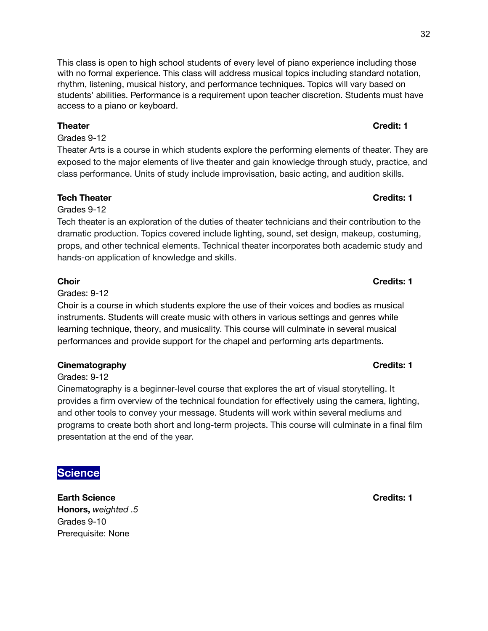#### **Choir Credits: 1**

## This class is open to high school students of every level of piano experience including those with no formal experience. This class will address musical topics including standard notation, rhythm, listening, musical history, and performance techniques. Topics will vary based on students' abilities. Performance is a requirement upon teacher discretion. Students must have access to a piano or keyboard.

## **Theater Credit: 1**

Grades 9-12

Theater Arts is a course in which students explore the performing elements of theater. They are exposed to the major elements of live theater and gain knowledge through study, practice, and class performance. Units of study include improvisation, basic acting, and audition skills.

## **Tech Theater Credits: 1**

## Grades 9-12

Tech theater is an exploration of the duties of theater technicians and their contribution to the dramatic production. Topics covered include lighting, sound, set design, makeup, costuming, props, and other technical elements. Technical theater incorporates both academic study and hands-on application of knowledge and skills.

Grades: 9-12

Choir is a course in which students explore the use of their voices and bodies as musical instruments. Students will create music with others in various settings and genres while learning technique, theory, and musicality. This course will culminate in several musical performances and provide support for the chapel and performing arts departments.

## **Cinematography Credits: 1**

Grades: 9-12

Cinematography is a beginner-level course that explores the art of visual storytelling. It provides a firm overview of the technical foundation for effectively using the camera, lighting, and other tools to convey your message. Students will work within several mediums and programs to create both short and long-term projects. This course will culminate in a final film presentation at the end of the year.

# **Science**

**Earth Science Credits: 1 Honors,** *weighted .5* Grades 9-10 Prerequisite: None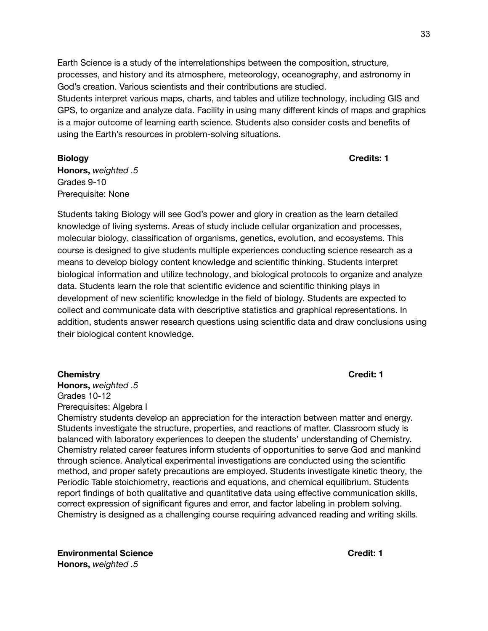Earth Science is a study of the interrelationships between the composition, structure, processes, and history and its atmosphere, meteorology, oceanography, and astronomy in God's creation. Various scientists and their contributions are studied. Students interpret various maps, charts, and tables and utilize technology, including GIS and GPS, to organize and analyze data. Facility in using many different kinds of maps and graphics is a major outcome of learning earth science. Students also consider costs and benefits of using the Earth's resources in problem-solving situations.

**Biology Credits: 1**

**Honors,** *weighted .5* Grades 9-10 Prerequisite: None

Students taking Biology will see God's power and glory in creation as the learn detailed knowledge of living systems. Areas of study include cellular organization and processes, molecular biology, classification of organisms, genetics, evolution, and ecosystems. This course is designed to give students multiple experiences conducting science research as a means to develop biology content knowledge and scientific thinking. Students interpret biological information and utilize technology, and biological protocols to organize and analyze data. Students learn the role that scientific evidence and scientific thinking plays in development of new scientific knowledge in the field of biology. Students are expected to collect and communicate data with descriptive statistics and graphical representations. In addition, students answer research questions using scientific data and draw conclusions using their biological content knowledge.

#### **Chemistry Credit: 1**

**Honors,** *weighted .5* Grades 10-12 Prerequisites: Algebra I

Chemistry students develop an appreciation for the interaction between matter and energy. Students investigate the structure, properties, and reactions of matter. Classroom study is balanced with laboratory experiences to deepen the students' understanding of Chemistry. Chemistry related career features inform students of opportunities to serve God and mankind through science. Analytical experimental investigations are conducted using the scientific method, and proper safety precautions are employed. Students investigate kinetic theory, the Periodic Table stoichiometry, reactions and equations, and chemical equilibrium. Students report findings of both qualitative and quantitative data using effective communication skills, correct expression of significant figures and error, and factor labeling in problem solving. Chemistry is designed as a challenging course requiring advanced reading and writing skills.

**Environmental Science Credit: 1 Honors,** *weighted .5*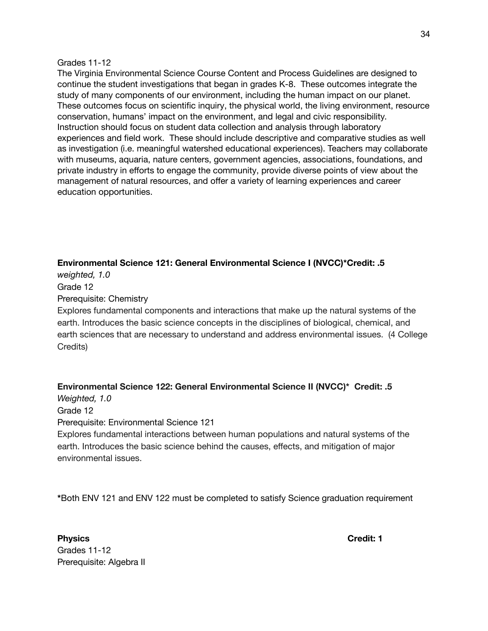#### Grades 11-12

The Virginia Environmental Science Course Content and Process Guidelines are designed to continue the student investigations that began in grades K-8. These outcomes integrate the study of many components of our environment, including the human impact on our planet. These outcomes focus on scientific inquiry, the physical world, the living environment, resource conservation, humans' impact on the environment, and legal and civic responsibility. Instruction should focus on student data collection and analysis through laboratory experiences and field work. These should include descriptive and comparative studies as well as investigation (i.e. meaningful watershed educational experiences). Teachers may collaborate with museums, aquaria, nature centers, government agencies, associations, foundations, and private industry in efforts to engage the community, provide diverse points of view about the management of natural resources, and offer a variety of learning experiences and career education opportunities.

## **Environmental Science 121: General Environmental Science I (NVCC)\*Credit: .5**

*weighted, 1.0* Grade 12 Prerequisite: Chemistry

Explores fundamental components and interactions that make up the natural systems of the earth. Introduces the basic science concepts in the disciplines of biological, chemical, and earth sciences that are necessary to understand and address environmental issues. (4 College Credits)

## **Environmental Science 122: General Environmental Science II (NVCC)\* Credit: .5**

*Weighted, 1.0*

Grade 12

Prerequisite: Environmental Science 121

Explores fundamental interactions between human populations and natural systems of the earth. Introduces the basic science behind the causes, effects, and mitigation of major environmental issues.

**\***Both ENV 121 and ENV 122 must be completed to satisfy Science graduation requirement

**Physics Credit: 1** Grades 11-12 Prerequisite: Algebra II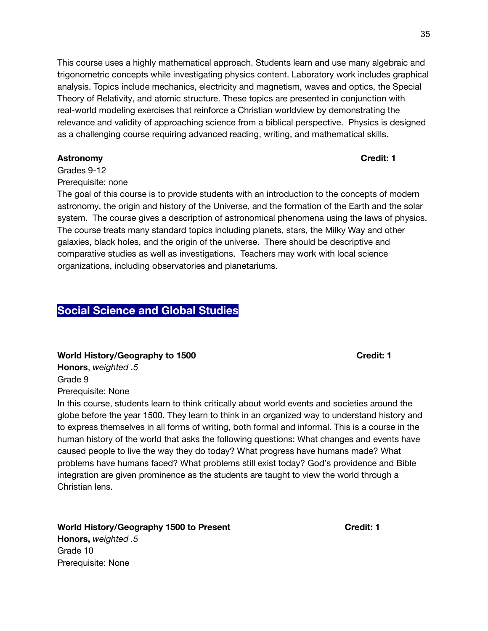This course uses a highly mathematical approach. Students learn and use many algebraic and trigonometric concepts while investigating physics content. Laboratory work includes graphical analysis. Topics include mechanics, electricity and magnetism, waves and optics, the Special Theory of Relativity, and atomic structure. These topics are presented in conjunction with real-world modeling exercises that reinforce a Christian worldview by demonstrating the relevance and validity of approaching science from a biblical perspective. Physics is designed as a challenging course requiring advanced reading, writing, and mathematical skills.

## **Astronomy Credit: 1**

Grades 9-12

Prerequisite: none

The goal of this course is to provide students with an introduction to the concepts of modern astronomy, the origin and history of the Universe, and the formation of the Earth and the solar system. The course gives a description of astronomical phenomena using the laws of physics. The course treats many standard topics including planets, stars, the Milky Way and other galaxies, black holes, and the origin of the universe. There should be descriptive and comparative studies as well as investigations. Teachers may work with local science organizations, including observatories and planetariums.

# **Social Science and Global Studies**

**World History/Geography to 1500 Credit: 1**

**Honors**, *weighted .5* Grade 9

Prerequisite: None

In this course, students learn to think critically about world events and societies around the globe before the year 1500. They learn to think in an organized way to understand history and to express themselves in all forms of writing, both formal and informal. This is a course in the human history of the world that asks the following questions: What changes and events have caused people to live the way they do today? What progress have humans made? What problems have humans faced? What problems still exist today? God's providence and Bible integration are given prominence as the students are taught to view the world through a Christian lens.

# **World History/Geography 1500 to Present Credit: 1**

**Honors,** *weighted .5* Grade 10 Prerequisite: None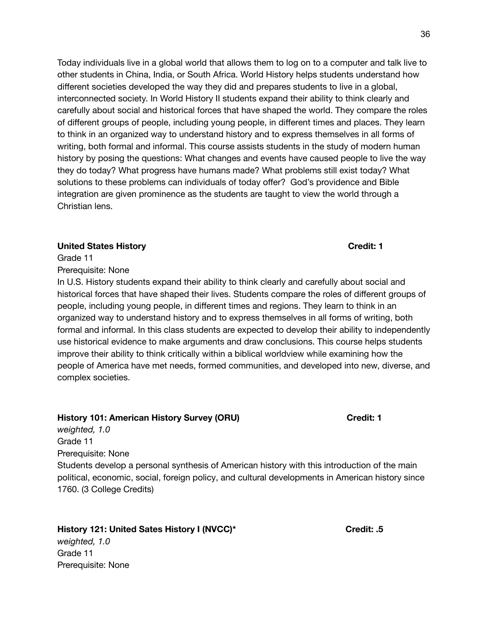Today individuals live in a global world that allows them to log on to a computer and talk live to other students in China, India, or South Africa. World History helps students understand how different societies developed the way they did and prepares students to live in a global, interconnected society. In World History II students expand their ability to think clearly and carefully about social and historical forces that have shaped the world. They compare the roles of different groups of people, including young people, in different times and places. They learn to think in an organized way to understand history and to express themselves in all forms of writing, both formal and informal. This course assists students in the study of modern human history by posing the questions: What changes and events have caused people to live the way they do today? What progress have humans made? What problems still exist today? What solutions to these problems can individuals of today offer? God's providence and Bible integration are given prominence as the students are taught to view the world through a Christian lens.

#### **United States History Credit: 1**

Grade 11 Prerequisite: None

Grade 11

Prerequisite: None

In U.S. History students expand their ability to think clearly and carefully about social and historical forces that have shaped their lives. Students compare the roles of different groups of people, including young people, in different times and regions. They learn to think in an organized way to understand history and to express themselves in all forms of writing, both formal and informal. In this class students are expected to develop their ability to independently use historical evidence to make arguments and draw conclusions. This course helps students improve their ability to think critically within a biblical worldview while examining how the people of America have met needs, formed communities, and developed into new, diverse, and complex societies.

## **History 101: American History Survey (ORU) Credit: 1**

*weighted, 1.0* Grade 11 Prerequisite: None Students develop a personal synthesis of American history with this introduction of the main political, economic, social, foreign policy, and cultural developments in American history since 1760. (3 College Credits)

**History 121: United Sates History I (NVCC)\* Credit: .5** *weighted, 1.0*

36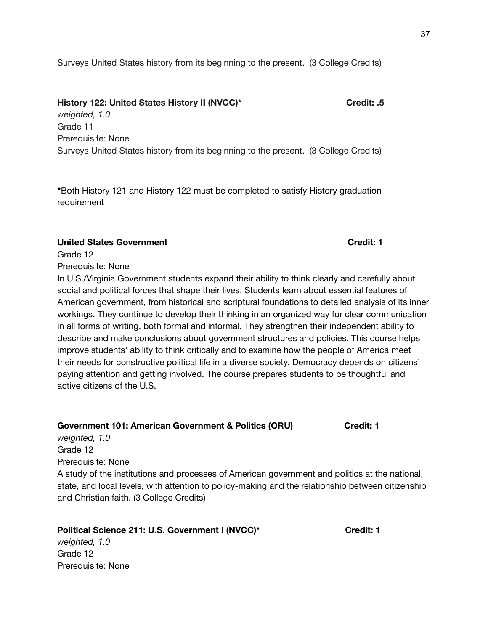## **History 122: United States History II (NVCC)\* Credit: .5**

*weighted, 1.0* Grade 11 Prerequisite: None Surveys United States history from its beginning to the present. (3 College Credits)

**\***Both History 121 and History 122 must be completed to satisfy History graduation requirement

## **United States Government Credit: 1**

Grade 12

Prerequisite: None

In U.S./Virginia Government students expand their ability to think clearly and carefully about social and political forces that shape their lives. Students learn about essential features of American government, from historical and scriptural foundations to detailed analysis of its inner workings. They continue to develop their thinking in an organized way for clear communication in all forms of writing, both formal and informal. They strengthen their independent ability to describe and make conclusions about government structures and policies. This course helps improve students' ability to think critically and to examine how the people of America meet their needs for constructive political life in a diverse society. Democracy depends on citizens' paying attention and getting involved. The course prepares students to be thoughtful and active citizens of the U.S.

## **Government 101: American Government & Politics (ORU) Credit: 1**

*weighted, 1.0* Grade 12 Prerequisite: None A study of the institutions and processes of American government and politics at the national, state, and local levels, with attention to policy-making and the relationship between citizenship and Christian faith. (3 College Credits)

## **Political Science 211: U.S. Government I (NVCC)\* Credit: 1**

*weighted, 1.0* Grade 12 Prerequisite: None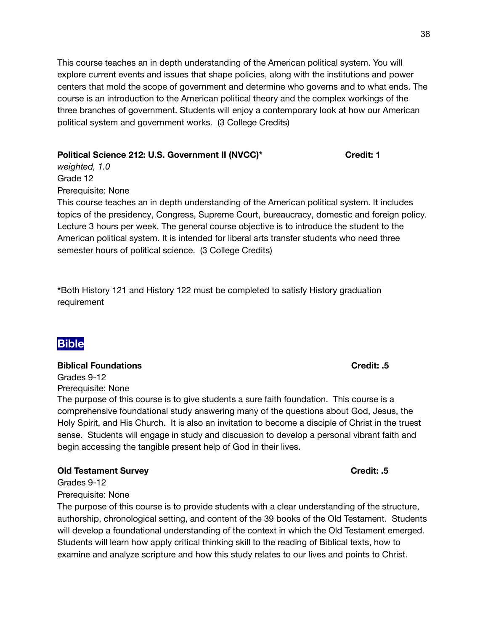This course teaches an in depth understanding of the American political system. You will explore current events and issues that shape policies, along with the institutions and power centers that mold the scope of government and determine who governs and to what ends. The course is an introduction to the American political theory and the complex workings of the three branches of government. Students will enjoy a contemporary look at how our American political system and government works. (3 College Credits)

## **Political Science 212: U.S. Government II (NVCC)\* Credit: 1**

*weighted, 1.0* Grade 12 Prerequisite: None

This course teaches an in depth understanding of the American political system. It includes topics of the presidency, Congress, Supreme Court, bureaucracy, domestic and foreign policy. Lecture 3 hours per week. The general course objective is to introduce the student to the American political system. It is intended for liberal arts transfer students who need three semester hours of political science. (3 College Credits)

**\***Both History 121 and History 122 must be completed to satisfy History graduation requirement

# **Bible**

## **Biblical Foundations Credit: .5**

Grades 9-12 Prerequisite: None

The purpose of this course is to give students a sure faith foundation. This course is a comprehensive foundational study answering many of the questions about God, Jesus, the Holy Spirit, and His Church. It is also an invitation to become a disciple of Christ in the truest sense. Students will engage in study and discussion to develop a personal vibrant faith and begin accessing the tangible present help of God in their lives.

## **Old Testament Survey Credit: .5**

Grades 9-12 Prerequisite: None

The purpose of this course is to provide students with a clear understanding of the structure, authorship, chronological setting, and content of the 39 books of the Old Testament. Students will develop a foundational understanding of the context in which the Old Testament emerged. Students will learn how apply critical thinking skill to the reading of Biblical texts, how to examine and analyze scripture and how this study relates to our lives and points to Christ.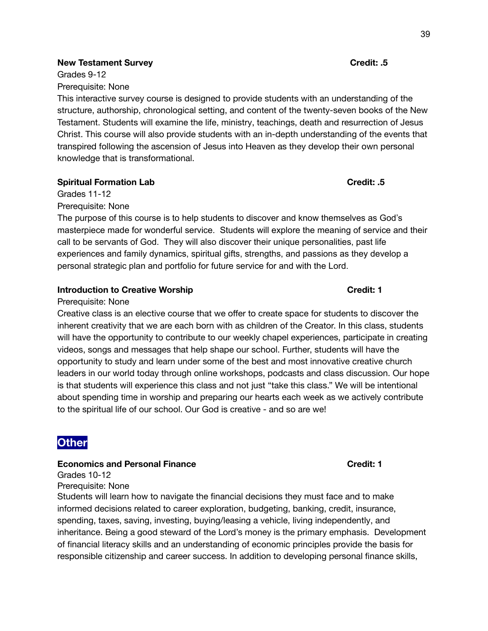#### **New Testament Survey Credit: .5**

Grades 9-12 Prerequisite: None

This interactive survey course is designed to provide students with an understanding of the structure, authorship, chronological setting, and content of the twenty-seven books of the New Testament. Students will examine the life, ministry, teachings, death and resurrection of Jesus Christ. This course will also provide students with an in-depth understanding of the events that transpired following the ascension of Jesus into Heaven as they develop their own personal knowledge that is transformational.

## **Spiritual Formation Lab Credit: .5**

Grades 11-12

Prerequisite: None

The purpose of this course is to help students to discover and know themselves as God's masterpiece made for wonderful service. Students will explore the meaning of service and their call to be servants of God. They will also discover their unique personalities, past life experiences and family dynamics, spiritual gifts, strengths, and passions as they develop a personal strategic plan and portfolio for future service for and with the Lord.

## **Introduction to Creative Worship Credit: 1**

#### Prerequisite: None

Creative class is an elective course that we offer to create space for students to discover the inherent creativity that we are each born with as children of the Creator. In this class, students will have the opportunity to contribute to our weekly chapel experiences, participate in creating videos, songs and messages that help shape our school. Further, students will have the opportunity to study and learn under some of the best and most innovative creative church leaders in our world today through online workshops, podcasts and class discussion. Our hope is that students will experience this class and not just "take this class." We will be intentional about spending time in worship and preparing our hearts each week as we actively contribute to the spiritual life of our school. Our God is creative - and so are we!

# **Other**

## **Economics and Personal Finance Credit: 1**

Grades 10-12 Prerequisite: None

Students will learn how to navigate the financial decisions they must face and to make informed decisions related to career exploration, budgeting, banking, credit, insurance, spending, taxes, saving, investing, buying/leasing a vehicle, living independently, and inheritance. Being a good steward of the Lord's money is the primary emphasis. Development of financial literacy skills and an understanding of economic principles provide the basis for responsible citizenship and career success. In addition to developing personal finance skills,

39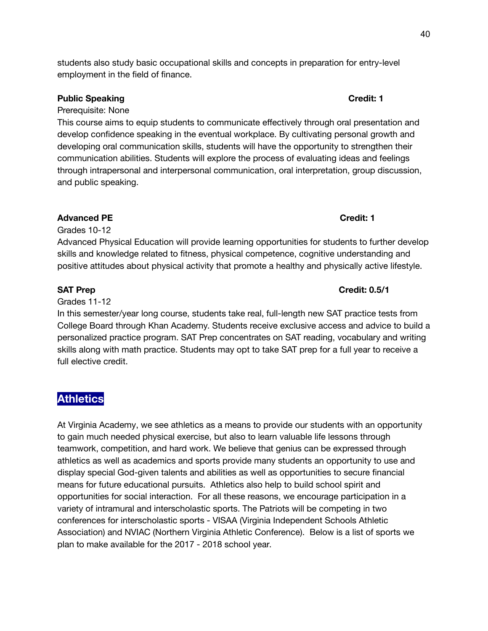students also study basic occupational skills and concepts in preparation for entry-level employment in the field of finance.

## **Public Speaking Credit: 1**

Prerequisite: None

This course aims to equip students to communicate effectively through oral presentation and develop confidence speaking in the eventual workplace. By cultivating personal growth and developing oral communication skills, students will have the opportunity to strengthen their communication abilities. Students will explore the process of evaluating ideas and feelings through intrapersonal and interpersonal communication, oral interpretation, group discussion, and public speaking.

## **Advanced PE Credit: 1**

Grades 10-12

Advanced Physical Education will provide learning opportunities for students to further develop skills and knowledge related to fitness, physical competence, cognitive understanding and positive attitudes about physical activity that promote a healthy and physically active lifestyle.

Grades 11-12

In this semester/year long course, students take real, full-length new SAT practice tests from College Board through Khan Academy. Students receive exclusive access and advice to build a personalized practice program. SAT Prep concentrates on SAT reading, vocabulary and writing skills along with math practice. Students may opt to take SAT prep for a full year to receive a full elective credit.

# **Athletics**

At Virginia Academy, we see athletics as a means to provide our students with an opportunity to gain much needed physical exercise, but also to learn valuable life lessons through teamwork, competition, and hard work. We believe that genius can be expressed through athletics as well as academics and sports provide many students an opportunity to use and display special God-given talents and abilities as well as opportunities to secure financial means for future educational pursuits. Athletics also help to build school spirit and opportunities for social interaction. For all these reasons, we encourage participation in a variety of intramural and interscholastic sports. The Patriots will be competing in two conferences for interscholastic sports - VISAA (Virginia Independent Schools Athletic Association) and NVIAC (Northern Virginia Athletic Conference). Below is a list of sports we plan to make available for the 2017 - 2018 school year.

## **SAT Prep Credit: 0.5/1**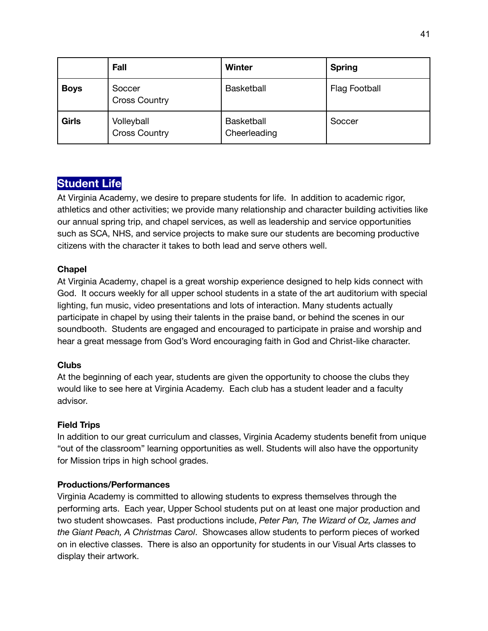|              | Fall                               | <b>Winter</b>                     | <b>Spring</b>        |
|--------------|------------------------------------|-----------------------------------|----------------------|
| <b>Boys</b>  | Soccer<br><b>Cross Country</b>     | <b>Basketball</b>                 | <b>Flag Football</b> |
| <b>Girls</b> | Volleyball<br><b>Cross Country</b> | <b>Basketball</b><br>Cheerleading | Soccer               |

# **Student Life**

At Virginia Academy, we desire to prepare students for life. In addition to academic rigor, athletics and other activities; we provide many relationship and character building activities like our annual spring trip, and chapel services, as well as leadership and service opportunities such as SCA, NHS, and service projects to make sure our students are becoming productive citizens with the character it takes to both lead and serve others well.

## **Chapel**

At Virginia Academy, chapel is a great worship experience designed to help kids connect with God. It occurs weekly for all upper school students in a state of the art auditorium with special lighting, fun music, video presentations and lots of interaction. Many students actually participate in chapel by using their talents in the praise band, or behind the scenes in our soundbooth. Students are engaged and encouraged to participate in praise and worship and hear a great message from God's Word encouraging faith in God and Christ-like character.

## **Clubs**

At the beginning of each year, students are given the opportunity to choose the clubs they would like to see here at Virginia Academy. Each club has a student leader and a faculty advisor.

## **Field Trips**

In addition to our great curriculum and classes, Virginia Academy students benefit from unique "out of the classroom" learning opportunities as well. Students will also have the opportunity for Mission trips in high school grades.

## **Productions/Performances**

Virginia Academy is committed to allowing students to express themselves through the performing arts. Each year, Upper School students put on at least one major production and two student showcases. Past productions include, *Peter Pan, The Wizard of Oz, James and the Giant Peach, A Christmas Carol*. Showcases allow students to perform pieces of worked on in elective classes. There is also an opportunity for students in our Visual Arts classes to display their artwork.